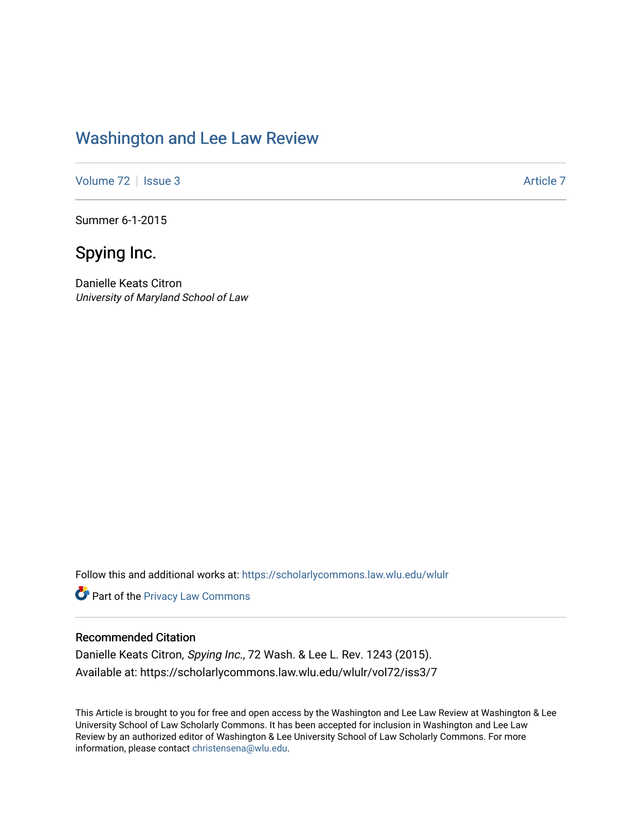## [Washington and Lee Law Review](https://scholarlycommons.law.wlu.edu/wlulr)

[Volume 72](https://scholarlycommons.law.wlu.edu/wlulr/vol72) | [Issue 3](https://scholarlycommons.law.wlu.edu/wlulr/vol72/iss3) [Article 7](https://scholarlycommons.law.wlu.edu/wlulr/vol72/iss3/7) Article 7

Summer 6-1-2015

# Spying Inc.

Danielle Keats Citron University of Maryland School of Law

Follow this and additional works at: [https://scholarlycommons.law.wlu.edu/wlulr](https://scholarlycommons.law.wlu.edu/wlulr?utm_source=scholarlycommons.law.wlu.edu%2Fwlulr%2Fvol72%2Fiss3%2F7&utm_medium=PDF&utm_campaign=PDFCoverPages) 

**Part of the Privacy Law Commons** 

#### Recommended Citation

Danielle Keats Citron, Spying Inc., 72 Wash. & Lee L. Rev. 1243 (2015). Available at: https://scholarlycommons.law.wlu.edu/wlulr/vol72/iss3/7

This Article is brought to you for free and open access by the Washington and Lee Law Review at Washington & Lee University School of Law Scholarly Commons. It has been accepted for inclusion in Washington and Lee Law Review by an authorized editor of Washington & Lee University School of Law Scholarly Commons. For more information, please contact [christensena@wlu.edu](mailto:christensena@wlu.edu).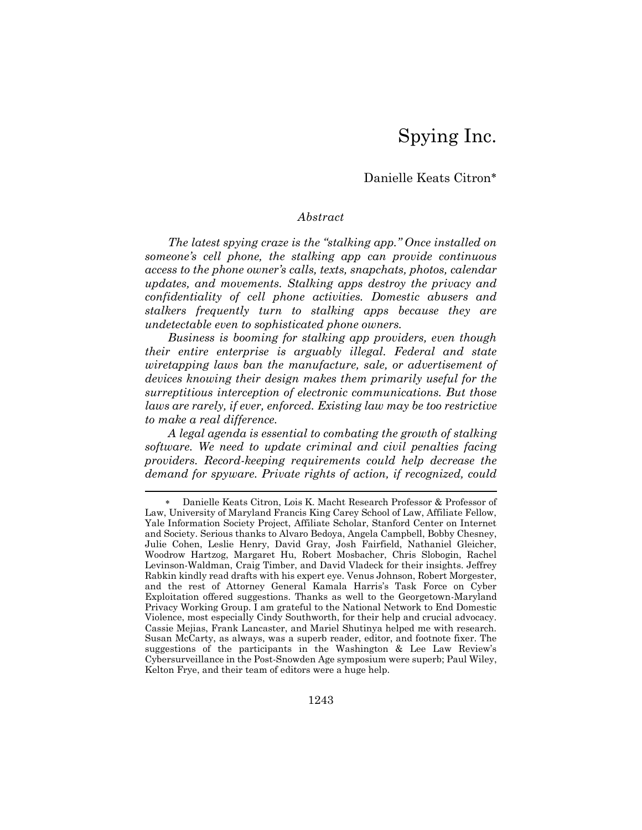# Spying Inc.

### Danielle Keats Citron

#### *Abstract*

*The latest spying craze is the "stalking app." Once installed on someone's cell phone, the stalking app can provide continuous access to the phone owner's calls, texts, snapchats, photos, calendar updates, and movements. Stalking apps destroy the privacy and confidentiality of cell phone activities. Domestic abusers and stalkers frequently turn to stalking apps because they are undetectable even to sophisticated phone owners.*

*Business is booming for stalking app providers, even though their entire enterprise is arguably illegal. Federal and state wiretapping laws ban the manufacture, sale, or advertisement of devices knowing their design makes them primarily useful for the surreptitious interception of electronic communications. But those*  laws are rarely, if ever, enforced. Existing law may be too restrictive *to make a real difference.*

*A legal agenda is essential to combating the growth of stalking software. We need to update criminal and civil penalties facing providers. Record-keeping requirements could help decrease the demand for spyware. Private rights of action, if recognized, could* 

l

 Danielle Keats Citron, Lois K. Macht Research Professor & Professor of Law, University of Maryland Francis King Carey School of Law, Affiliate Fellow, Yale Information Society Project, Affiliate Scholar, Stanford Center on Internet and Society. Serious thanks to Alvaro Bedoya, Angela Campbell, Bobby Chesney, Julie Cohen, Leslie Henry, David Gray, Josh Fairfield, Nathaniel Gleicher, Woodrow Hartzog, Margaret Hu, Robert Mosbacher, Chris Slobogin, Rachel Levinson-Waldman, Craig Timber, and David Vladeck for their insights. Jeffrey Rabkin kindly read drafts with his expert eye. Venus Johnson, Robert Morgester, and the rest of Attorney General Kamala Harris's Task Force on Cyber Exploitation offered suggestions. Thanks as well to the Georgetown-Maryland Privacy Working Group. I am grateful to the National Network to End Domestic Violence, most especially Cindy Southworth, for their help and crucial advocacy. Cassie Mejias, Frank Lancaster, and Mariel Shutinya helped me with research. Susan McCarty, as always, was a superb reader, editor, and footnote fixer. The suggestions of the participants in the Washington & Lee Law Review's Cybersurveillance in the Post-Snowden Age symposium were superb; Paul Wiley, Kelton Frye, and their team of editors were a huge help.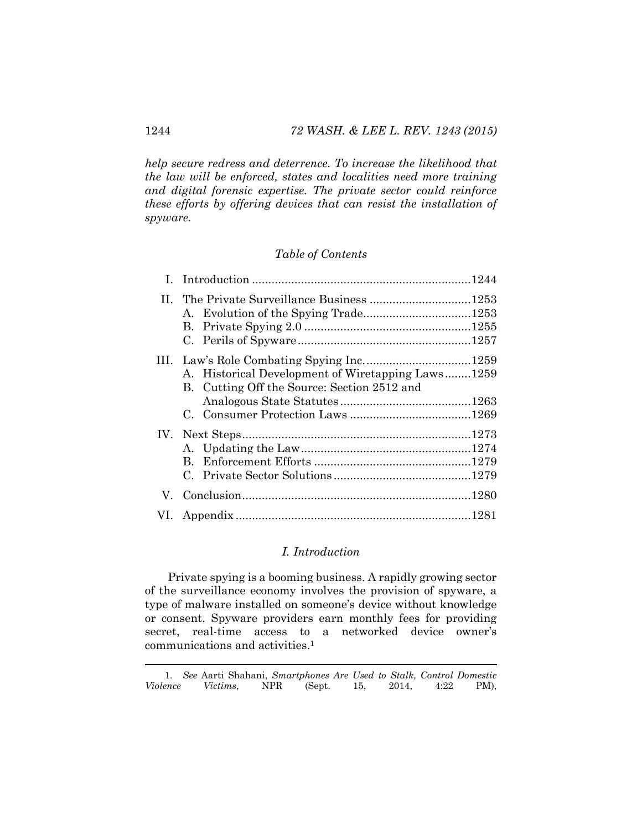*help secure redress and deterrence. To increase the likelihood that the law will be enforced, states and localities need more training and digital forensic expertise. The private sector could reinforce these efforts by offering devices that can resist the installation of spyware.* 

#### *Table of Contents*

| A. Historical Development of Wiretapping Laws1259<br>B. Cutting Off the Source: Section 2512 and |  |
|--------------------------------------------------------------------------------------------------|--|
| В.                                                                                               |  |
|                                                                                                  |  |
|                                                                                                  |  |

#### *I. Introduction*

Private spying is a booming business. A rapidly growing sector of the surveillance economy involves the provision of spyware, a type of malware installed on someone's device without knowledge or consent. Spyware providers earn monthly fees for providing secret, real-time access to a networked device owner's communications and activities.1

 <sup>1</sup>*. See* Aarti Shahani, *Smartphones Are Used to Stalk, Control Domestic Violence Victims*, NPR (Sept. 15, 2014, 4:22 PM),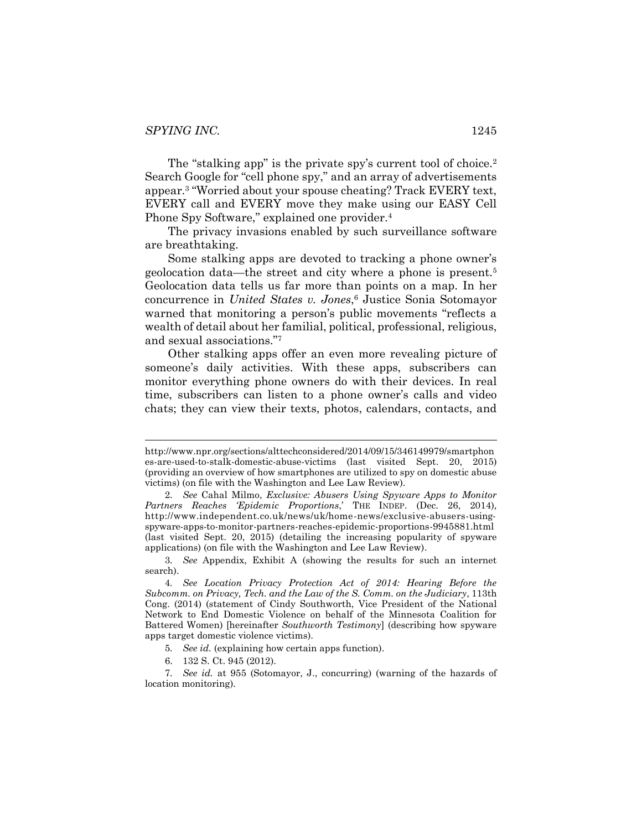<span id="page-3-1"></span>The "stalking app" is the private spy's current tool of choice.<sup>2</sup> Search Google for "cell phone spy," and an array of advertisements appear.3 "Worried about your spouse cheating? Track EVERY text, EVERY call and EVERY move they make using our EASY Cell Phone Spy Software," explained one provider.<sup>4</sup>

<span id="page-3-0"></span>The privacy invasions enabled by such surveillance software are breathtaking.

Some stalking apps are devoted to tracking a phone owner's geolocation data—the street and city where a phone is present.5 Geolocation data tells us far more than points on a map. In her concurrence in *United States v. Jones*, <sup>6</sup> Justice Sonia Sotomayor warned that monitoring a person's public movements "reflects a wealth of detail about her familial, political, professional, religious, and sexual associations."<sup>7</sup>

Other stalking apps offer an even more revealing picture of someone's daily activities. With these apps, subscribers can monitor everything phone owners do with their devices. In real time, subscribers can listen to a phone owner's calls and video chats; they can view their texts, photos, calendars, contacts, and

- 5*. See id.* (explaining how certain apps function).
- 6. 132 S. Ct. 945 (2012).

http://www.npr.org/sections/alttechconsidered/2014/09/15/346149979/smartphon es-are-used-to-stalk-domestic-abuse-victims (last visited Sept. 20, 2015) (providing an overview of how smartphones are utilized to spy on domestic abuse victims) (on file with the Washington and Lee Law Review).

<sup>2</sup>*. See* Cahal Milmo, *Exclusive: Abusers Using Spyware Apps to Monitor Partners Reaches 'Epidemic Proportions*,' THE INDEP. (Dec. 26, 2014), http://www.independent.co.uk/news/uk/home-news/exclusive-abusers-usingspyware-apps-to-monitor-partners-reaches-epidemic-proportions-9945881.html (last visited Sept. 20, 2015) (detailing the increasing popularity of spyware applications) (on file with the Washington and Lee Law Review).

<sup>3</sup>*. See* Appendix, Exhibit A (showing the results for such an internet search).

<sup>4</sup>*. See Location Privacy Protection Act of 2014: Hearing Before the Subcomm. on Privacy, Tech. and the Law of the S. Comm. on the Judiciary*, 113th Cong. (2014) (statement of Cindy Southworth, Vice President of the National Network to End Domestic Violence on behalf of the Minnesota Coalition for Battered Women) [hereinafter *Southworth Testimony*] (describing how spyware apps target domestic violence victims).

<sup>7</sup>*. See id.* at 955 (Sotomayor, J., concurring) (warning of the hazards of location monitoring).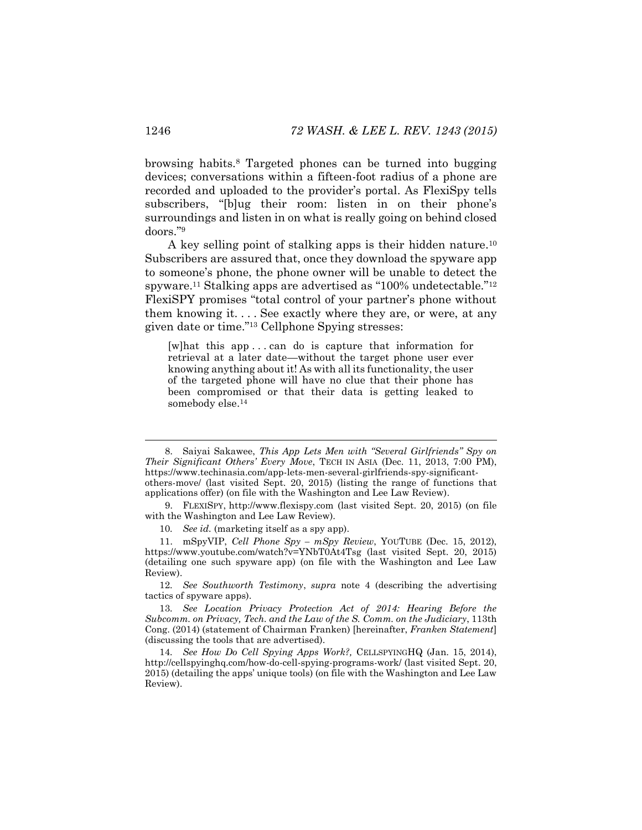browsing habits.8 Targeted phones can be turned into bugging devices; conversations within a fifteen-foot radius of a phone are recorded and uploaded to the provider's portal. As FlexiSpy tells subscribers, "[b]ug their room: listen in on their phone's surroundings and listen in on what is really going on behind closed doors."<sup>9</sup>

<span id="page-4-1"></span><span id="page-4-0"></span>A key selling point of stalking apps is their hidden nature.<sup>10</sup> Subscribers are assured that, once they download the spyware app to someone's phone, the phone owner will be unable to detect the spyware.11 Stalking apps are advertised as "100% undetectable."<sup>12</sup> FlexiSPY promises "total control of your partner's phone without them knowing it. . . . See exactly where they are, or were, at any given date or time."<sup>13</sup> Cellphone Spying stresses:

<span id="page-4-2"></span>[w]hat this app . . . can do is capture that information for retrieval at a later date—without the target phone user ever knowing anything about it! As with all its functionality, the user of the targeted phone will have no clue that their phone has been compromised or that their data is getting leaked to somebody else.<sup>14</sup>

 <sup>8.</sup> Saiyai Sakawee, *This App Lets Men with "Several Girlfriends" Spy on Their Significant Others' Every Move*, TECH IN ASIA (Dec. 11, 2013, 7:00 PM), https://www.techinasia.com/app-lets-men-several-girlfriends-spy-significantothers-move/ (last visited Sept. 20, 2015) (listing the range of functions that applications offer) (on file with the Washington and Lee Law Review).

<sup>9.</sup> FLEXISPY, [http://www.flexispy.com](http://www.flexispy.com/) (last visited Sept. 20, 2015) (on file with the Washington and Lee Law Review).

<sup>10</sup>*. See id.* (marketing itself as a spy app).

<sup>11.</sup> mSpyVIP, *Cell Phone Spy – mSpy Review*, YOUTUBE (Dec. 15, 2012), https://www.youtube.com/watch?v=YNbT0At4Tsg (last visited Sept. 20, 2015) (detailing one such spyware app) (on file with the Washington and Lee Law Review).

<sup>12</sup>*. See Southworth Testimony*, *supra* note [4](#page-3-0) (describing the advertising tactics of spyware apps).

<sup>13</sup>*. See Location Privacy Protection Act of 2014: Hearing Before the Subcomm. on Privacy, Tech. and the Law of the S. Comm. on the Judiciary*, 113th Cong. (2014) (statement of Chairman Franken) [hereinafter, *Franken Statement*] (discussing the tools that are advertised).

<sup>14</sup>*. See How Do Cell Spying Apps Work?,* CELLSPYINGHQ (Jan. 15, 2014), http://cellspyinghq.com/how-do-cell-spying-programs-work/ (last visited Sept. 20, 2015) (detailing the apps' unique tools) (on file with the Washington and Lee Law Review).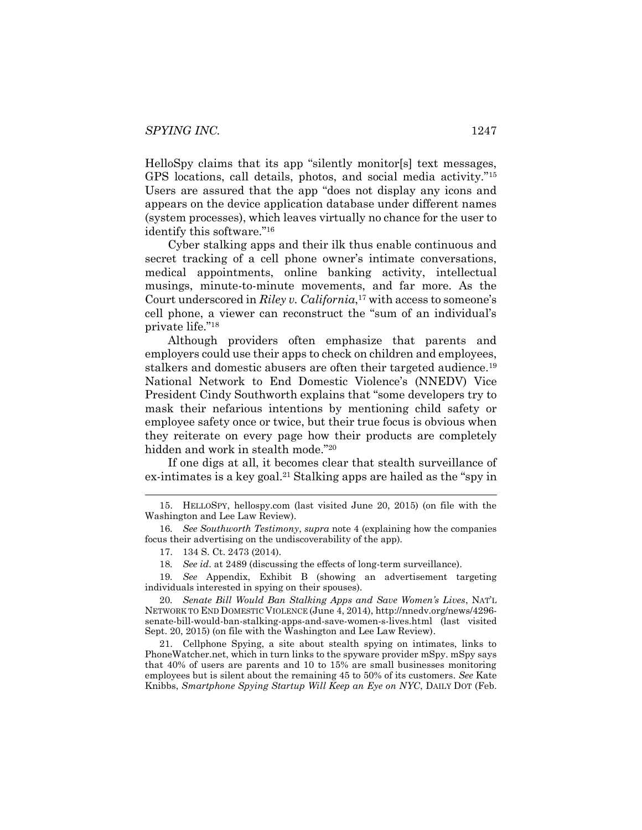HelloSpy claims that its app "silently monitor[s] text messages, GPS locations, call details, photos, and social media activity."<sup>15</sup> Users are assured that the app "does not display any icons and appears on the device application database under different names (system processes), which leaves virtually no chance for the user to identify this software."<sup>16</sup>

Cyber stalking apps and their ilk thus enable continuous and secret tracking of a cell phone owner's intimate conversations, medical appointments, online banking activity, intellectual musings, minute-to-minute movements, and far more. As the Court underscored in *Riley v. California*,<sup>17</sup> with access to someone's cell phone, a viewer can reconstruct the "sum of an individual's private life."<sup>18</sup>

Although providers often emphasize that parents and employers could use their apps to check on children and employees, stalkers and domestic abusers are often their targeted audience.<sup>19</sup> National Network to End Domestic Violence's (NNEDV) Vice President Cindy Southworth explains that "some developers try to mask their nefarious intentions by mentioning child safety or employee safety once or twice, but their true focus is obvious when they reiterate on every page how their products are completely hidden and work in stealth mode."<sup>20</sup>

<span id="page-5-0"></span>If one digs at all, it becomes clear that stealth surveillance of ex-intimates is a key goal.<sup>21</sup> Stalking apps are hailed as the "spy in

18*. See id*. at 2489 (discussing the effects of long-term surveillance).

19*. See* Appendix, Exhibit B (showing an advertisement targeting individuals interested in spying on their spouses).

20*. Senate Bill Would Ban Stalking Apps and Save Women's Lives*, NAT'L NETWORK TO END DOMESTIC VIOLENCE (June 4, 2014), http://nnedv.org/news/4296 senate-bill-would-ban-stalking-apps-and-save-women-s-lives.html (last visited Sept. 20, 2015) (on file with the Washington and Lee Law Review).

21. Cellphone Spying, a site about stealth spying on intimates, links to PhoneWatcher.net, which in turn links to the spyware provider mSpy. mSpy says that 40% of users are parents and 10 to 15% are small businesses monitoring employees but is silent about the remaining 45 to 50% of its customers. *See* Kate Knibbs, *Smartphone Spying Startup Will Keep an Eye on NYC*, DAILY DOT (Feb.

 <sup>15.</sup> HELLOSPY, hellospy.com (last visited June 20, 2015) (on file with the Washington and Lee Law Review).

<sup>16</sup>*. See Southworth Testimony*, *supra* note [4](#page-3-0) (explaining how the companies focus their advertising on the undiscoverability of the app).

<sup>17.</sup> 134 S. Ct. 2473 (2014).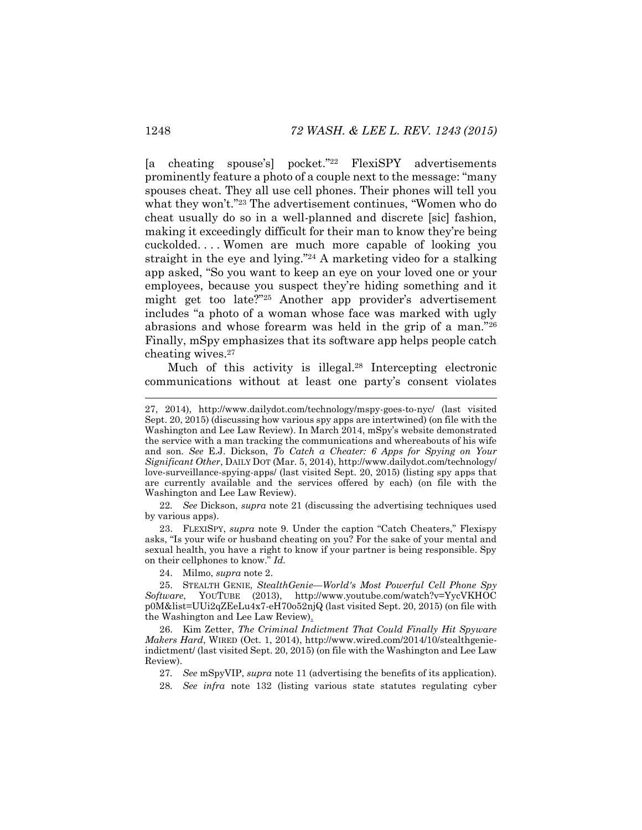[a cheating spouse's] pocket."<sup>22</sup> FlexiSPY advertisements prominently feature a photo of a couple next to the message: "many spouses cheat. They all use cell phones. Their phones will tell you what they won't."<sup>23</sup> The advertisement continues, "Women who do cheat usually do so in a well-planned and discrete [sic] fashion, making it exceedingly difficult for their man to know they're being cuckolded. . . . Women are much more capable of looking you straight in the eye and lying."<sup>24</sup> A marketing video for a stalking app asked, "So you want to keep an eye on your loved one or your employees, because you suspect they're hiding something and it might get too late?"<sup>25</sup> Another app provider's advertisement includes "a photo of a woman whose face was marked with ugly abrasions and whose forearm was held in the grip of a man."<sup>26</sup> Finally, mSpy emphasizes that its software app helps people catch cheating wives.27

<span id="page-6-0"></span>Much of this activity is illegal.<sup>28</sup> Intercepting electronic communications without at least one party's consent violates

22*. See* Dickson, *supra* note [21](#page-5-0) (discussing the advertising techniques used by various apps).

23. FLEXISPY, *supra* note [9](#page-4-0). Under the caption "Catch Cheaters," Flexispy asks, "Is your wife or husband cheating on you? For the sake of your mental and sexual health, you have a right to know if your partner is being responsible. Spy on their cellphones to know." *Id.*

24. Milmo, *supra* note [2.](#page-3-1)

25. STEALTH GENIE, *StealthGenie—World's Most Powerful Cell Phone Spy Software*, YOUTUBE (2013), http://www.youtube.com/watch?v=YycVKHOC p0M&list=UUi2qZEeLu4x7-eH70o52njQ (last visited Sept. 20, 2015) (on file with the Washington and Lee Law Review).

26. Kim Zetter, *The Criminal Indictment That Could Finally Hit Spyware Makers Hard*, WIRED (Oct. 1, 2014), http://www.wired.com/2014/10/stealthgenieindictment/ (last visited Sept. 20, 2015) (on file with the Washington and Lee Law Review).

27*. See* mSpyVIP, *supra* note [11](#page-4-1) (advertising the benefits of its application).

28*. See infra* note [132](#page-23-0) (listing various state statutes regulating cyber

 <sup>27, 2014),</sup> http://www.dailydot.com/technology/mspy-goes-to-nyc/ (last visited Sept. 20, 2015) (discussing how various spy apps are intertwined) (on file with the Washington and Lee Law Review). In March 2014, mSpy's website demonstrated the service with a man tracking the communications and whereabouts of his wife and son. *See* E.J. Dickson, *To Catch a Cheater: 6 Apps for Spying on Your Significant Other*, DAILY DOT (Mar. 5, 2014), http://www.dailydot.com/technology/ love-surveillance-spying-apps/ (last visited Sept. 20, 2015) (listing spy apps that are currently available and the services offered by each) (on file with the Washington and Lee Law Review).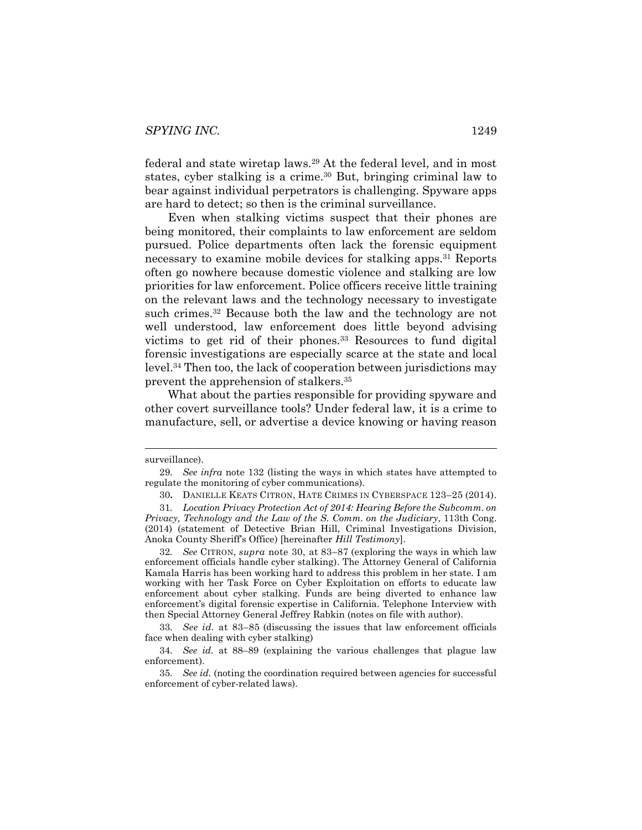<span id="page-7-0"></span>federal and state wiretap laws.29 At the federal level, and in most states, cyber stalking is a crime.<sup>30</sup> But, bringing criminal law to bear against individual perpetrators is challenging. Spyware apps are hard to detect; so then is the criminal surveillance.

<span id="page-7-1"></span>Even when stalking victims suspect that their phones are being monitored, their complaints to law enforcement are seldom pursued. Police departments often lack the forensic equipment necessary to examine mobile devices for stalking apps.31 Reports often go nowhere because domestic violence and stalking are low priorities for law enforcement. Police officers receive little training on the relevant laws and the technology necessary to investigate such crimes.<sup>32</sup> Because both the law and the technology are not well understood, law enforcement does little beyond advising victims to get rid of their phones.33 Resources to fund digital forensic investigations are especially scarce at the state and local level.34 Then too, the lack of cooperation between jurisdictions may prevent the apprehension of stalkers.35

What about the parties responsible for providing spyware and other covert surveillance tools? Under federal law, it is a crime to manufacture, sell, or advertise a device knowing or having reason

surveillance).

<sup>29</sup>*. See infra* note [132](#page-23-0) (listing the ways in which states have attempted to regulate the monitoring of cyber communications).

<sup>30</sup>**.** DANIELLE KEATS CITRON, HATE CRIMES IN CYBERSPACE 123–25 (2014).

<sup>31</sup>*. Location Privacy Protection Act of 2014: Hearing Before the Subcomm. on Privacy, Technology and the Law of the S. Comm. on the Judiciary*, 113th Cong. (2014) (statement of Detective Brian Hill, Criminal Investigations Division, Anoka County Sheriff's Office) [hereinafter *Hill Testimony*].

<sup>32</sup>*. See* CITRON, *supra* note [30,](#page-7-0) at 83–87 (exploring the ways in which law enforcement officials handle cyber stalking). The Attorney General of California Kamala Harris has been working hard to address this problem in her state. I am working with her Task Force on Cyber Exploitation on efforts to educate law enforcement about cyber stalking. Funds are being diverted to enhance law enforcement's digital forensic expertise in California. Telephone Interview with then Special Attorney General Jeffrey Rabkin (notes on file with author).

<sup>33</sup>*. See id.* at 83–85 (discussing the issues that law enforcement officials face when dealing with cyber stalking)

<sup>34</sup>*. See id.* at 88–89 (explaining the various challenges that plague law enforcement).

<sup>35</sup>*. See id.* (noting the coordination required between agencies for successful enforcement of cyber-related laws).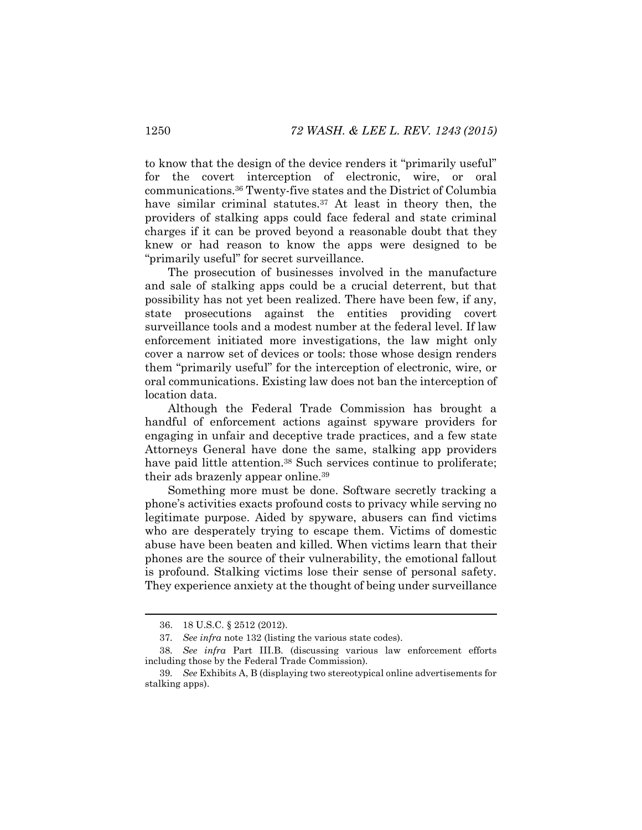to know that the design of the device renders it "primarily useful" for the covert interception of electronic, wire, or oral communications.36 Twenty-five states and the District of Columbia have similar criminal statutes.<sup>37</sup> At least in theory then, the providers of stalking apps could face federal and state criminal charges if it can be proved beyond a reasonable doubt that they knew or had reason to know the apps were designed to be "primarily useful" for secret surveillance.

The prosecution of businesses involved in the manufacture and sale of stalking apps could be a crucial deterrent, but that possibility has not yet been realized. There have been few, if any, state prosecutions against the entities providing covert surveillance tools and a modest number at the federal level. If law enforcement initiated more investigations, the law might only cover a narrow set of devices or tools: those whose design renders them "primarily useful" for the interception of electronic, wire, or oral communications. Existing law does not ban the interception of location data.

Although the Federal Trade Commission has brought a handful of enforcement actions against spyware providers for engaging in unfair and deceptive trade practices, and a few state Attorneys General have done the same, stalking app providers have paid little attention.<sup>38</sup> Such services continue to proliferate; their ads brazenly appear online.<sup>39</sup>

Something more must be done. Software secretly tracking a phone's activities exacts profound costs to privacy while serving no legitimate purpose. Aided by spyware, abusers can find victims who are desperately trying to escape them. Victims of domestic abuse have been beaten and killed. When victims learn that their phones are the source of their vulnerability, the emotional fallout is profound. Stalking victims lose their sense of personal safety. They experience anxiety at the thought of being under surveillance

 <sup>36.</sup> 18 U.S.C. § <sup>2512</sup> (2012).

<sup>37</sup>*. See infra* note [132](#page-23-0) (listing the various state codes).

<sup>38</sup>*. See infra* Part III.B. (discussing various law enforcement efforts including those by the Federal Trade Commission).

<sup>39</sup>*. See* Exhibits A, B (displaying two stereotypical online advertisements for stalking apps).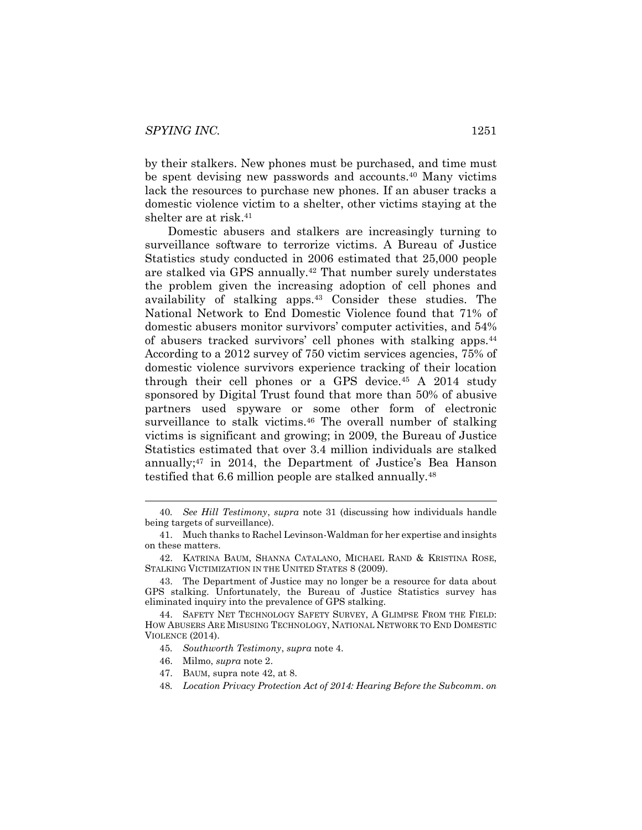by their stalkers. New phones must be purchased, and time must be spent devising new passwords and accounts.40 Many victims lack the resources to purchase new phones. If an abuser tracks a domestic violence victim to a shelter, other victims staying at the shelter are at risk.41

<span id="page-9-0"></span>Domestic abusers and stalkers are increasingly turning to surveillance software to terrorize victims. A Bureau of Justice Statistics study conducted in 2006 estimated that 25,000 people are stalked via GPS annually.42 That number surely understates the problem given the increasing adoption of cell phones and availability of stalking apps.43 Consider these studies. The National Network to End Domestic Violence found that 71% of domestic abusers monitor survivors' computer activities, and 54% of abusers tracked survivors' cell phones with stalking apps.<sup>44</sup> According to a 2012 survey of 750 victim services agencies, 75% of domestic violence survivors experience tracking of their location through their cell phones or a GPS device.45 A 2014 study sponsored by Digital Trust found that more than 50% of abusive partners used spyware or some other form of electronic surveillance to stalk victims.<sup>46</sup> The overall number of stalking victims is significant and growing; in 2009, the Bureau of Justice Statistics estimated that over 3.4 million individuals are stalked annually;47 in 2014, the Department of Justice's Bea Hanson testified that 6.6 million people are stalked annually.<sup>48</sup>

44. SAFETY NET TECHNOLOGY SAFETY SURVEY, A GLIMPSE FROM THE FIELD: HOW ABUSERS ARE MISUSING TECHNOLOGY, NATIONAL NETWORK TO END DOMESTIC VIOLENCE (2014).

- 45*. Southworth Testimony*, *supra* note [4.](#page-3-0)
- 46. Milmo, *supra* note [2.](#page-3-1)
- 47. BAUM, supra note [42,](#page-9-0) at 8.
- 48*. Location Privacy Protection Act of 2014: Hearing Before the Subcomm. on*

 <sup>40</sup>*. See Hill Testimony*, *supra* note [31](#page-7-1) (discussing how individuals handle being targets of surveillance).

<sup>41.</sup> Much thanks to Rachel Levinson-Waldman for her expertise and insights on these matters.

<sup>42.</sup> KATRINA BAUM, SHANNA CATALANO, MICHAEL RAND & KRISTINA ROSE, STALKING VICTIMIZATION IN THE UNITED STATES 8 (2009).

<sup>43.</sup> The Department of Justice may no longer be a resource for data about GPS stalking. Unfortunately, the Bureau of Justice Statistics survey has eliminated inquiry into the prevalence of GPS stalking.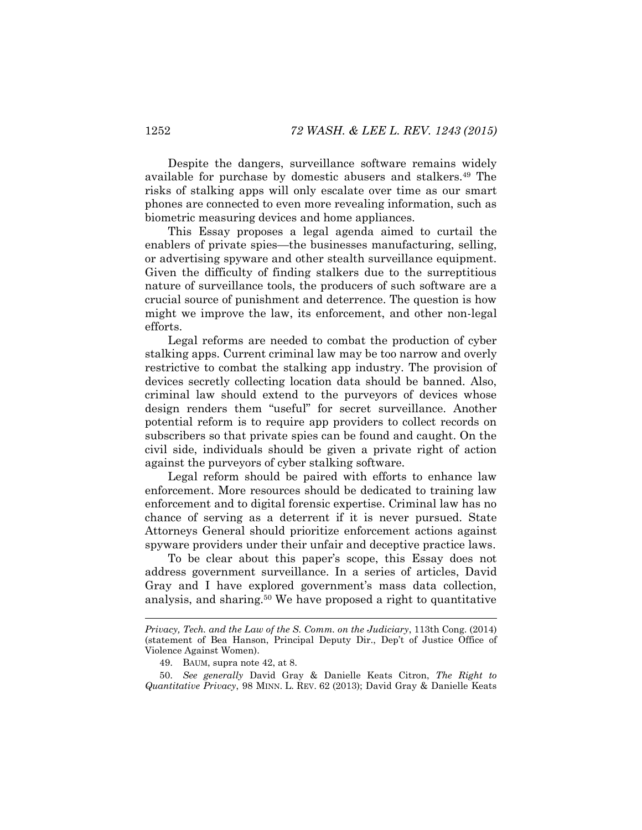Despite the dangers, surveillance software remains widely available for purchase by domestic abusers and stalkers.49 The risks of stalking apps will only escalate over time as our smart phones are connected to even more revealing information, such as biometric measuring devices and home appliances.

This Essay proposes a legal agenda aimed to curtail the enablers of private spies—the businesses manufacturing, selling, or advertising spyware and other stealth surveillance equipment. Given the difficulty of finding stalkers due to the surreptitious nature of surveillance tools, the producers of such software are a crucial source of punishment and deterrence. The question is how might we improve the law, its enforcement, and other non-legal efforts.

Legal reforms are needed to combat the production of cyber stalking apps. Current criminal law may be too narrow and overly restrictive to combat the stalking app industry. The provision of devices secretly collecting location data should be banned. Also, criminal law should extend to the purveyors of devices whose design renders them "useful" for secret surveillance. Another potential reform is to require app providers to collect records on subscribers so that private spies can be found and caught. On the civil side, individuals should be given a private right of action against the purveyors of cyber stalking software.

Legal reform should be paired with efforts to enhance law enforcement. More resources should be dedicated to training law enforcement and to digital forensic expertise. Criminal law has no chance of serving as a deterrent if it is never pursued. State Attorneys General should prioritize enforcement actions against spyware providers under their unfair and deceptive practice laws.

To be clear about this paper's scope, this Essay does not address government surveillance. In a series of articles, David Gray and I have explored government's mass data collection, analysis, and sharing.50 We have proposed a right to quantitative

l

*Privacy, Tech. and the Law of the S. Comm. on the Judiciary*, 113th Cong. (2014) (statement of Bea Hanson, Principal Deputy Dir., Dep't of Justice Office of Violence Against Women).

<sup>49.</sup> BAUM, supra note [42,](#page-9-0) at 8.

<sup>50.</sup> *See generally* David Gray & Danielle Keats Citron, *The Right to Quantitative Privacy*, 98 MINN. L. REV. 62 (2013); David Gray & Danielle Keats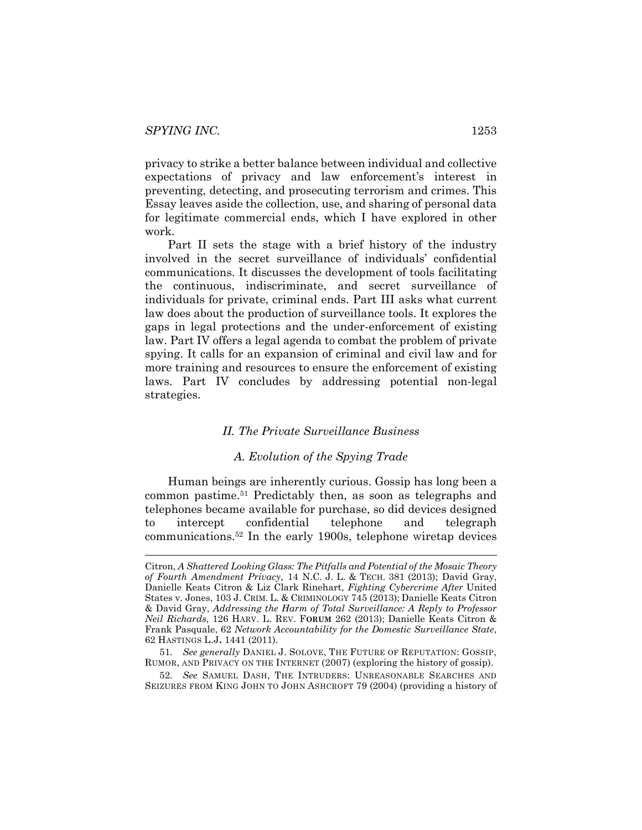privacy to strike a better balance between individual and collective expectations of privacy and law enforcement's interest in preventing, detecting, and prosecuting terrorism and crimes. This Essay leaves aside the collection, use, and sharing of personal data for legitimate commercial ends, which I have explored in other work.

Part II sets the stage with a brief history of the industry involved in the secret surveillance of individuals' confidential communications. It discusses the development of tools facilitating the continuous, indiscriminate, and secret surveillance of individuals for private, criminal ends. Part III asks what current law does about the production of surveillance tools. It explores the gaps in legal protections and the under-enforcement of existing law. Part IV offers a legal agenda to combat the problem of private spying. It calls for an expansion of criminal and civil law and for more training and resources to ensure the enforcement of existing laws. Part IV concludes by addressing potential non-legal strategies.

#### *II. The Private Surveillance Business*

#### <span id="page-11-0"></span>*A. Evolution of the Spying Trade*

Human beings are inherently curious. Gossip has long been a common pastime.51 Predictably then, as soon as telegraphs and telephones became available for purchase, so did devices designed to intercept confidential telephone and telegraph communications.52 In the early 1900s, telephone wiretap devices

52*. See* SAMUEL DASH, THE INTRUDERS: UNREASONABLE SEARCHES AND SEIZURES FROM KING JOHN TO JOHN ASHCROFT 79 (2004) (providing a history of

Citron, *A Shattered Looking Glass: The Pitfalls and Potential of the Mosaic Theory of Fourth Amendment Privacy*, 14 N.C. J. L. & TECH. 381 (2013); David Gray, Danielle Keats Citron & Liz Clark Rinehart*, Fighting Cybercrime After* United States v. Jones, 103 J. CRIM. L. & CRIMINOLOGY 745 (2013); Danielle Keats Citron & David Gray, *Addressing the Harm of Total Surveillance: A Reply to Professor Neil Richards*, 126 HARV. L. REV. F**ORUM** 262 (2013); Danielle Keats Citron & Frank Pasquale, 62 *Network Accountability for the Domestic Surveillance State*, 62 HASTINGS L.J**.** 1441 (2011).

<sup>51</sup>*. See generally* DANIEL J. SOLOVE, THE FUTURE OF REPUTATION: GOSSIP, RUMOR, AND PRIVACY ON THE INTERNET (2007) (exploring the history of gossip).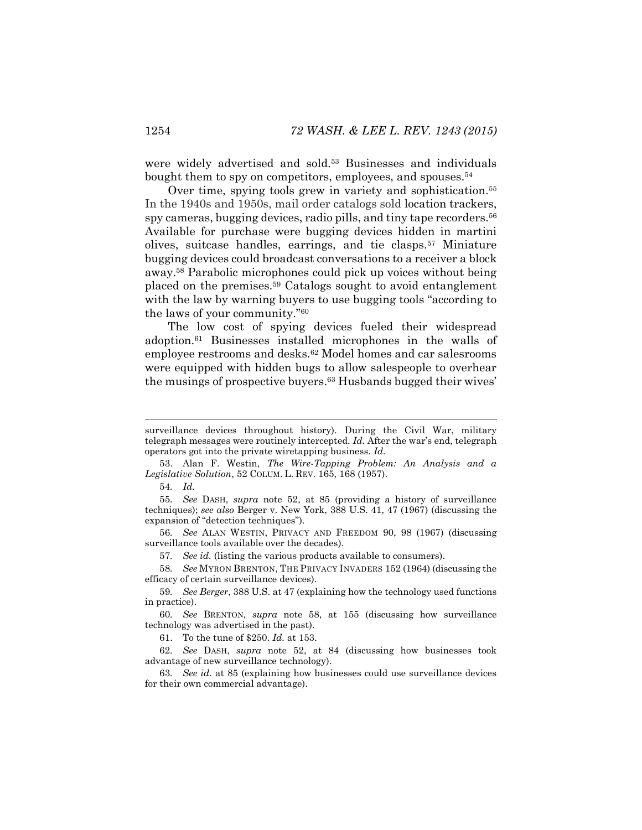were widely advertised and sold.<sup>53</sup> Businesses and individuals bought them to spy on competitors, employees, and spouses.54

<span id="page-12-1"></span>Over time, spying tools grew in variety and sophistication.55 In the 1940s and 1950s, mail order catalogs sold location trackers, spy cameras, bugging devices, radio pills, and tiny tape recorders.<sup>56</sup> Available for purchase were bugging devices hidden in martini olives, suitcase handles, earrings, and tie clasps.57 Miniature bugging devices could broadcast conversations to a receiver a block away.58 Parabolic microphones could pick up voices without being placed on the premises.59 Catalogs sought to avoid entanglement with the law by warning buyers to use bugging tools "according to the laws of your community."<sup>60</sup>

<span id="page-12-0"></span>The low cost of spying devices fueled their widespread adoption.61 Businesses installed microphones in the walls of employee restrooms and desks.62 Model homes and car salesrooms were equipped with hidden bugs to allow salespeople to overhear the musings of prospective buyers.63 Husbands bugged their wives'

54*. Id.*

55*. See* DASH, *supra* note [52,](#page-11-0) at 85 (providing a history of surveillance techniques); *see also* Berger v. New York, 388 U.S. 41, 47 (1967) (discussing the expansion of "detection techniques").

56*. See* ALAN WESTIN, PRIVACY AND FREEDOM 90, 98 (1967) (discussing surveillance tools available over the decades).

57*. See id.* (listing the various products available to consumers).

58*. See* MYRON BRENTON, THE PRIVACY INVADERS 152 (1964) (discussing the efficacy of certain surveillance devices).

59*. See Berger*, 388 U.S. at 47 (explaining how the technology used functions in practice).

60*. See* BRENTON, *supra* note [58,](#page-12-0) at 155 (discussing how surveillance technology was advertised in the past).

61. To the tune of \$250. *Id.* at 153.

62*. See* DASH, *supra* note [52,](#page-11-0) at 84 (discussing how businesses took advantage of new surveillance technology).

63*. See id.* at 85 (explaining how businesses could use surveillance devices for their own commercial advantage).

surveillance devices throughout history). During the Civil War, military telegraph messages were routinely intercepted. *Id.* After the war's end, telegraph operators got into the private wiretapping business. *Id.*

<sup>53.</sup> Alan F. Westin, *The Wire-Tapping Problem: An Analysis and a Legislative Solution*, 52 COLUM. L. REV. 165, 168 (1957).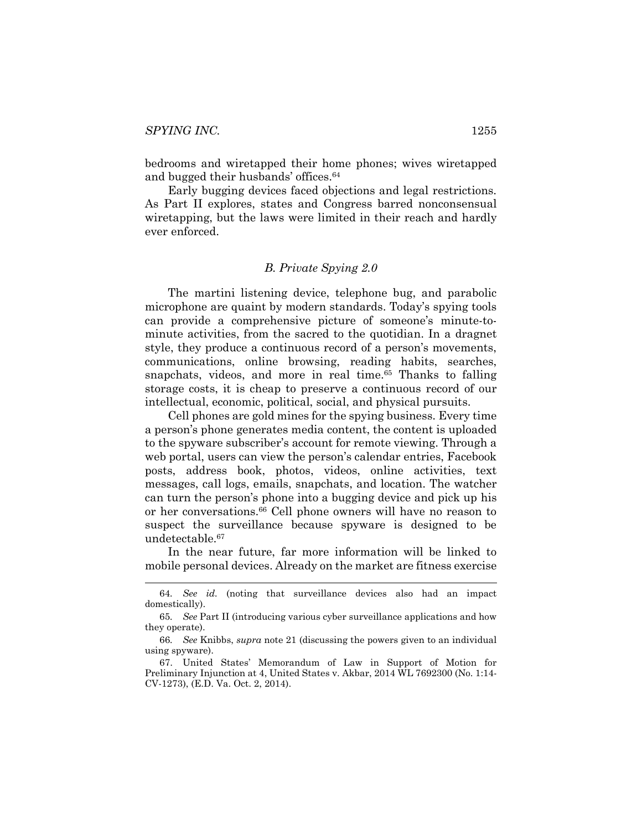bedrooms and wiretapped their home phones; wives wiretapped and bugged their husbands' offices.<sup>64</sup>

Early bugging devices faced objections and legal restrictions. As Part II explores, states and Congress barred nonconsensual wiretapping, but the laws were limited in their reach and hardly ever enforced.

#### *B. Private Spying 2.0*

The martini listening device, telephone bug, and parabolic microphone are quaint by modern standards. Today's spying tools can provide a comprehensive picture of someone's minute-tominute activities, from the sacred to the quotidian. In a dragnet style, they produce a continuous record of a person's movements, communications, online browsing, reading habits, searches, snapchats, videos, and more in real time. <sup>65</sup> Thanks to falling storage costs, it is cheap to preserve a continuous record of our intellectual, economic, political, social, and physical pursuits.

Cell phones are gold mines for the spying business. Every time a person's phone generates media content, the content is uploaded to the spyware subscriber's account for remote viewing. Through a web portal, users can view the person's calendar entries, Facebook posts, address book, photos, videos, online activities, text messages, call logs, emails, snapchats, and location. The watcher can turn the person's phone into a bugging device and pick up his or her conversations.66 Cell phone owners will have no reason to suspect the surveillance because spyware is designed to be undetectable.67

In the near future, far more information will be linked to mobile personal devices. Already on the market are fitness exercise

 <sup>64</sup>*. See id.* (noting that surveillance devices also had an impact domestically).

<sup>65</sup>*. See* Part II (introducing various cyber surveillance applications and how they operate).

<sup>66</sup>*. See* Knibbs, *supra* not[e 21](#page-5-0) (discussing the powers given to an individual using spyware).

<sup>67.</sup> United States' Memorandum of Law in Support of Motion for Preliminary Injunction at 4, United States v. Akbar, 2014 WL 7692300 (No. 1:14- CV-1273), (E.D. Va. Oct. 2, 2014).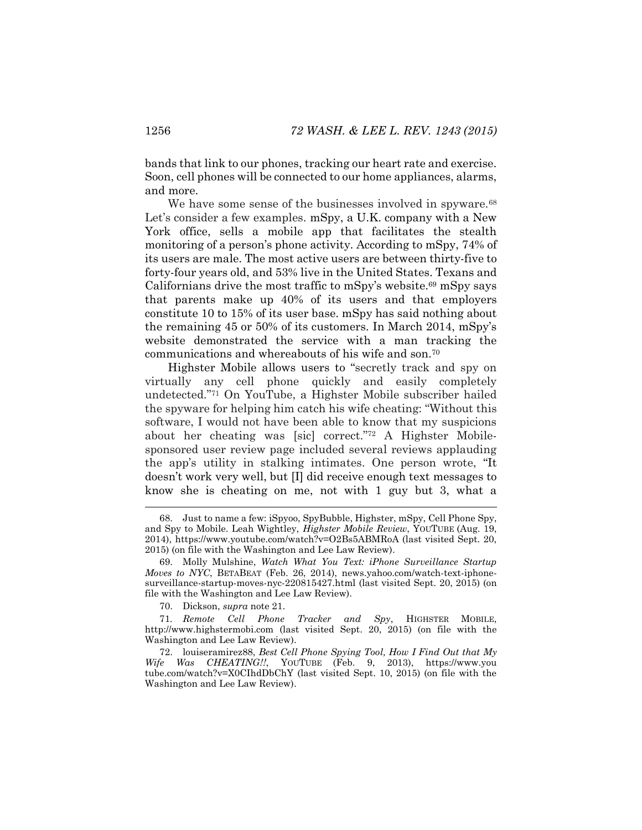bands that link to our phones, tracking our heart rate and exercise. Soon, cell phones will be connected to our home appliances, alarms, and more.

We have some sense of the businesses involved in spyware.<sup>68</sup> Let's consider a few examples. mSpy, a U.K. company with a New York office, sells a mobile app that facilitates the stealth monitoring of a person's phone activity. According to mSpy, 74% of its users are male. The most active users are between thirty-five to forty-four years old, and 53% live in the United States. Texans and Californians drive the most traffic to mSpy's website.<sup>69</sup> mSpy says that parents make up 40% of its users and that employers constitute 10 to 15% of its user base. mSpy has said nothing about the remaining 45 or 50% of its customers. In March 2014, mSpy's website demonstrated the service with a man tracking the communications and whereabouts of his wife and son.70

Highster Mobile allows users to "secretly track and spy on virtually any cell phone quickly and easily completely undetected."<sup>71</sup> On YouTube, a Highster Mobile subscriber hailed the spyware for helping him catch his wife cheating: "Without this software, I would not have been able to know that my suspicions about her cheating was [sic] correct."<sup>72</sup> A Highster Mobilesponsored user review page included several reviews applauding the app's utility in stalking intimates. One person wrote, "It doesn't work very well, but [I] did receive enough text messages to know she is cheating on me, not with 1 guy but 3, what a

 <sup>68.</sup> Just to name a few: iSpyoo, SpyBubble, Highster, mSpy, Cell Phone Spy, and Spy to Mobile. Leah Wightley, *Highster Mobile Review*, YOUTUBE (Aug. 19, 2014), https://www.youtube.com/watch?v=O2Bs5ABMRoA (last visited Sept. 20, 2015) (on file with the Washington and Lee Law Review).

<sup>69.</sup> Molly Mulshine, *Watch What You Text: iPhone Surveillance Startup Moves to NYC*, BETABEAT (Feb. 26, 2014), news.yahoo.com/watch-text-iphonesurveillance-startup-moves-nyc-220815427.html (last visited Sept. 20, 2015) (on file with the Washington and Lee Law Review).

<sup>70.</sup> Dickson, *supra* note [21.](#page-5-0)

<sup>71</sup>*. Remote Cell Phone Tracker and Spy*, HIGHSTER MOBILE, http://www.highstermobi.com (last visited Sept. 20, 2015) (on file with the Washington and Lee Law Review).

<sup>72.</sup> louiseramirez88, *Best Cell Phone Spying Tool, How I Find Out that My Wife Was CHEATING!!*, YOUTUBE (Feb. 9, 2013), https://www.you tube.com/watch?v=X0CIhdDbChY (last visited Sept. 10, 2015) (on file with the Washington and Lee Law Review).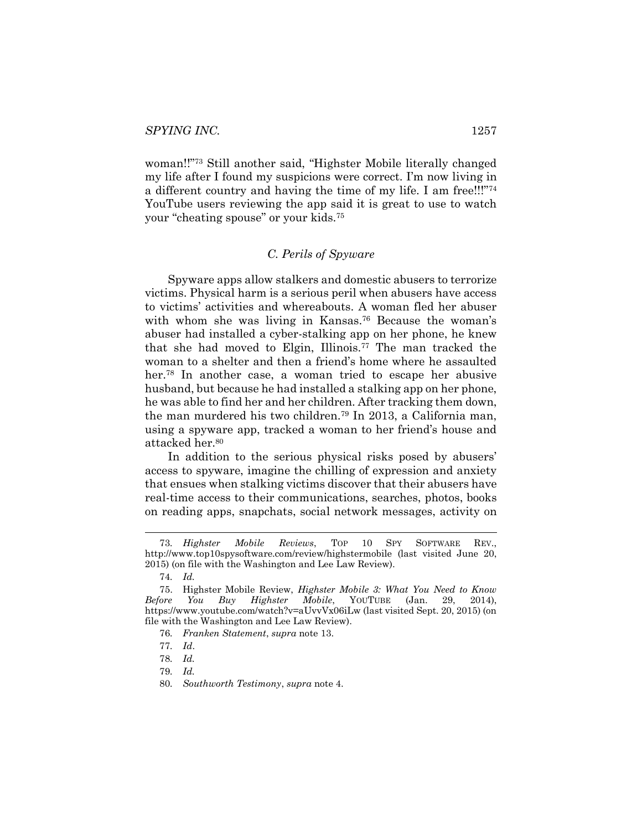woman!!"<sup>73</sup> Still another said, "Highster Mobile literally changed my life after I found my suspicions were correct. I'm now living in a different country and having the time of my life. I am free!!!"<sup>74</sup> YouTube users reviewing the app said it is great to use to watch your "cheating spouse" or your kids.<sup>75</sup>

#### *C. Perils of Spyware*

Spyware apps allow stalkers and domestic abusers to terrorize victims. Physical harm is a serious peril when abusers have access to victims' activities and whereabouts. A woman fled her abuser with whom she was living in Kansas.76 Because the woman's abuser had installed a cyber-stalking app on her phone, he knew that she had moved to Elgin, Illinois.77 The man tracked the woman to a shelter and then a friend's home where he assaulted her.<sup>78</sup> In another case, a woman tried to escape her abusive husband, but because he had installed a stalking app on her phone, he was able to find her and her children. After tracking them down, the man murdered his two children.79 In 2013, a California man, using a spyware app, tracked a woman to her friend's house and attacked her.80

In addition to the serious physical risks posed by abusers' access to spyware, imagine the chilling of expression and anxiety that ensues when stalking victims discover that their abusers have real-time access to their communications, searches, photos, books on reading apps, snapchats, social network messages, activity on

76*. Franken Statement*, *supra* note [13.](#page-4-2)

 <sup>73</sup>*. Highster Mobile Reviews*, TOP 10 SPY SOFTWARE REV., http://www.top10spysoftware.com/review/highstermobile (last visited June 20, 2015) (on file with the Washington and Lee Law Review).

<sup>74</sup>*. Id.*

<sup>75.</sup> Highster Mobile Review, *Highster Mobile 3: What You Need to Know Before You Buy Highster Mobile*, YOUTUBE (Jan. 29, 2014), https://www.youtube.com/watch?v=aUvvVx06iLw (last visited Sept. 20, 2015) (on file with the Washington and Lee Law Review).

<sup>77</sup>*. Id*.

<sup>78</sup>*. Id.*

<sup>79</sup>*. Id.*

<sup>80</sup>*. Southworth Testimony*, *supra* note [4.](#page-3-0)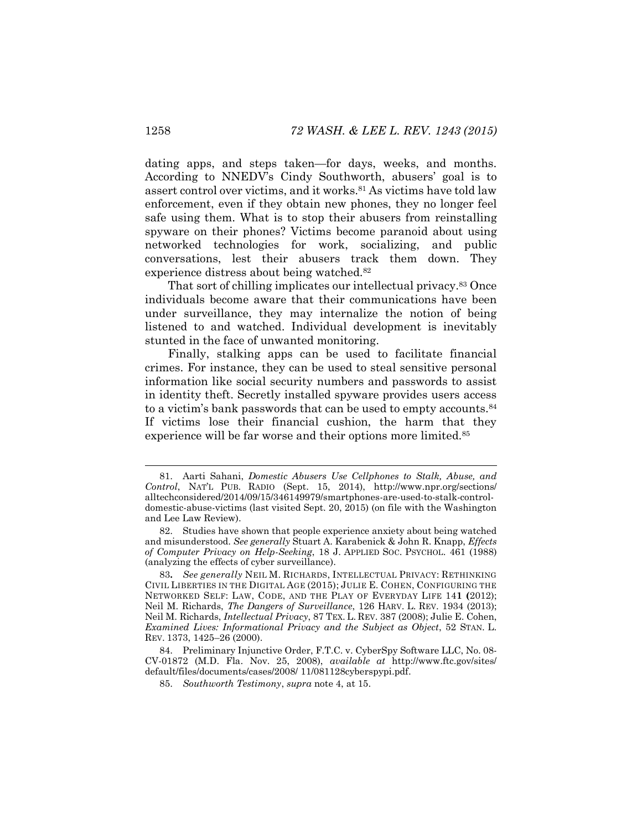dating apps, and steps taken—for days, weeks, and months. According to NNEDV's Cindy Southworth, abusers' goal is to assert control over victims, and it works.81 As victims have told law enforcement, even if they obtain new phones, they no longer feel safe using them. What is to stop their abusers from reinstalling spyware on their phones? Victims become paranoid about using networked technologies for work, socializing, and public conversations, lest their abusers track them down. They experience distress about being watched.<sup>82</sup>

That sort of chilling implicates our intellectual privacy.83 Once individuals become aware that their communications have been under surveillance, they may internalize the notion of being listened to and watched. Individual development is inevitably stunted in the face of unwanted monitoring.

Finally, stalking apps can be used to facilitate financial crimes. For instance, they can be used to steal sensitive personal information like social security numbers and passwords to assist in identity theft. Secretly installed spyware provides users access to a victim's bank passwords that can be used to empty accounts.<sup>84</sup> If victims lose their financial cushion, the harm that they experience will be far worse and their options more limited.85

 <sup>81.</sup> Aarti Sahani, *Domestic Abusers Use Cellphones to Stalk, Abuse, and Control*, NAT'L PUB. RADIO (Sept. 15, 2014), http://www.npr.org/sections/ alltechconsidered/2014/09/15/346149979/smartphones-are-used-to-stalk-controldomestic-abuse-victims (last visited Sept. 20, 2015) (on file with the Washington and Lee Law Review).

<sup>82.</sup> Studies have shown that people experience anxiety about being watched and misunderstood. *See generally* Stuart A. Karabenick & John R. Knapp, *Effects of Computer Privacy on Help-Seeking*, 18 J. APPLIED SOC. PSYCHOL. 461 (1988) (analyzing the effects of cyber surveillance).

<sup>83</sup>**.** *See generally* NEIL M. RICHARDS, INTELLECTUAL PRIVACY: RETHINKING CIVIL LIBERTIES IN THE DIGITAL AGE (2015); JULIE E. COHEN, CONFIGURING THE NETWORKED SELF: LAW, CODE, AND THE PLAY OF EVERYDAY LIFE 14**1 (**2012); Neil M. Richards, *The Dangers of Surveillance*, 126 HARV. L. REV. 1934 (2013); Neil M. Richards, *Intellectual Privacy*, 87 TEX. L. REV. 387 (2008); Julie E. Cohen, *Examined Lives: Informational Privacy and the Subject as Object*, 52 STAN. L. REV. 1373, 1425–26 (2000).

<sup>84.</sup> Preliminary Injunctive Order, F.T.C. v. CyberSpy Software LLC, No. 08- CV-01872 (M.D. Fla. Nov. 25, 2008), *available at* http://www.ftc.gov/sites/ default/files/documents/cases/2008/ 11/081128cyberspypi.pdf.

<sup>85.</sup> *Southworth Testimony*, *supra* note [4,](#page-3-0) at 15.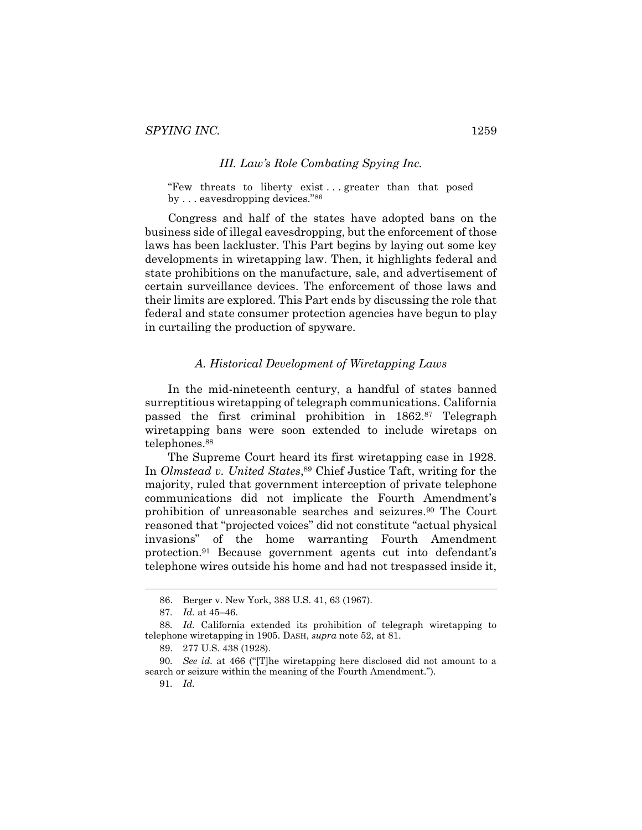#### *III. Law's Role Combating Spying Inc.*

"Few threats to liberty exist...greater than that posed by . . . eavesdropping devices."<sup>86</sup>

Congress and half of the states have adopted bans on the business side of illegal eavesdropping, but the enforcement of those laws has been lackluster. This Part begins by laying out some key developments in wiretapping law. Then, it highlights federal and state prohibitions on the manufacture, sale, and advertisement of certain surveillance devices. The enforcement of those laws and their limits are explored. This Part ends by discussing the role that federal and state consumer protection agencies have begun to play in curtailing the production of spyware.

#### *A. Historical Development of Wiretapping Laws*

In the mid-nineteenth century, a handful of states banned surreptitious wiretapping of telegraph communications. California passed the first criminal prohibition in 1862.<sup>87</sup> Telegraph wiretapping bans were soon extended to include wiretaps on telephones.<sup>88</sup>

The Supreme Court heard its first wiretapping case in 1928. In *Olmstead v. United States*,<sup>89</sup> Chief Justice Taft, writing for the majority, ruled that government interception of private telephone communications did not implicate the Fourth Amendment's prohibition of unreasonable searches and seizures.90 The Court reasoned that "projected voices" did not constitute "actual physical invasions" of the home warranting Fourth Amendment protection.91 Because government agents cut into defendant's telephone wires outside his home and had not trespassed inside it,

 <sup>86.</sup> Berger v. New York, 388 U.S. 41, 63 (1967).

<sup>87</sup>*. Id.* at 45–46.

<sup>88</sup>*. Id.* California extended its prohibition of telegraph wiretapping to telephone wiretapping in 1905. DASH, *supra* note [52,](#page-11-0) at 81.

<sup>89.</sup> 277 U.S. 438 (1928).

<sup>90</sup>*. See id.* at 466 ("[T]he wiretapping here disclosed did not amount to a search or seizure within the meaning of the Fourth Amendment.").

<sup>91</sup>*. Id.*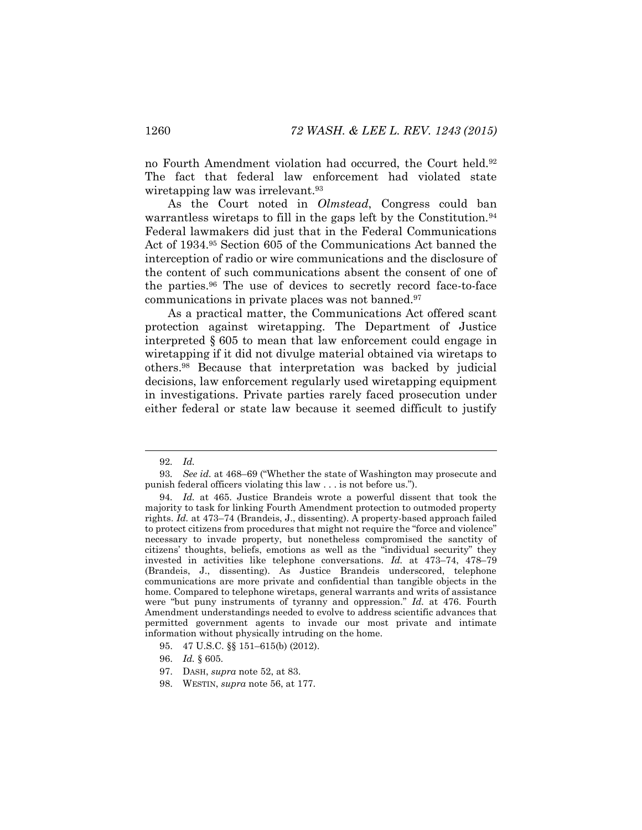no Fourth Amendment violation had occurred, the Court held.<sup>92</sup> The fact that federal law enforcement had violated state wiretapping law was irrelevant.<sup>93</sup>

As the Court noted in *Olmstead*, Congress could ban warrantless wiretaps to fill in the gaps left by the Constitution.<sup>94</sup> Federal lawmakers did just that in the Federal Communications Act of 1934.95 Section 605 of the Communications Act banned the interception of radio or wire communications and the disclosure of the content of such communications absent the consent of one of the parties.96 The use of devices to secretly record face-to-face communications in private places was not banned.97

As a practical matter, the Communications Act offered scant protection against wiretapping. The Department of Justice interpreted § 605 to mean that law enforcement could engage in wiretapping if it did not divulge material obtained via wiretaps to others.98 Because that interpretation was backed by judicial decisions, law enforcement regularly used wiretapping equipment in investigations. Private parties rarely faced prosecution under either federal or state law because it seemed difficult to justify

 <sup>92</sup>*. Id.*

<sup>93</sup>*. See id.* at 468–69 ("Whether the state of Washington may prosecute and punish federal officers violating this law . . . is not before us.").

<sup>94</sup>*. Id.* at 465. Justice Brandeis wrote a powerful dissent that took the majority to task for linking Fourth Amendment protection to outmoded property rights. *Id.* at 473–74 (Brandeis, J., dissenting). A property-based approach failed to protect citizens from procedures that might not require the "force and violence" necessary to invade property, but nonetheless compromised the sanctity of citizens' thoughts, beliefs, emotions as well as the "individual security" they invested in activities like telephone conversations. *Id.* at 473–74, 478–79 (Brandeis, J., dissenting). As Justice Brandeis underscored, telephone communications are more private and confidential than tangible objects in the home. Compared to telephone wiretaps, general warrants and writs of assistance were "but puny instruments of tyranny and oppression." *Id.* at 476. Fourth Amendment understandings needed to evolve to address scientific advances that permitted government agents to invade our most private and intimate information without physically intruding on the home.

<sup>95.</sup> 47 U.S.C. §§ 151–615(b) (2012).

<sup>96.</sup> *Id.* § 605.

<sup>97.</sup> DASH, *supra* note [52,](#page-11-0) at 83.

<sup>98.</sup> WESTIN, *supra* note [56,](#page-12-1) at 177.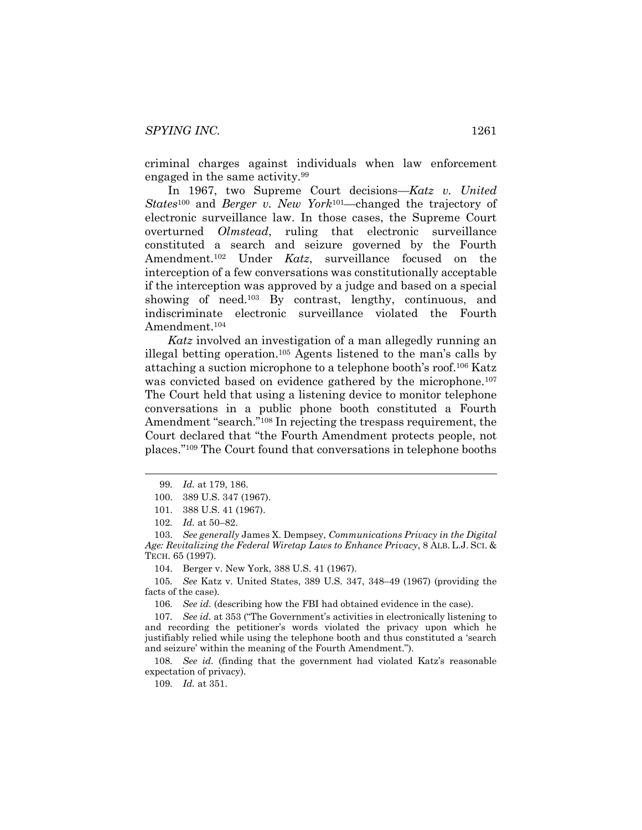criminal charges against individuals when law enforcement engaged in the same activity.99

In 1967, two Supreme Court decisions—*Katz v. United States*<sup>100</sup> and *Berger v. New York*101—changed the trajectory of electronic surveillance law. In those cases, the Supreme Court overturned *Olmstead*, ruling that electronic surveillance constituted a search and seizure governed by the Fourth Amendment.102 Under *Katz*, surveillance focused on the interception of a few conversations was constitutionally acceptable if the interception was approved by a judge and based on a special showing of need.<sup>103</sup> By contrast, lengthy, continuous, and indiscriminate electronic surveillance violated the Fourth Amendment.104

<span id="page-19-0"></span>*Katz* involved an investigation of a man allegedly running an illegal betting operation.105 Agents listened to the man's calls by attaching a suction microphone to a telephone booth's roof.<sup>106</sup> Katz was convicted based on evidence gathered by the microphone.<sup>107</sup> The Court held that using a listening device to monitor telephone conversations in a public phone booth constituted a Fourth Amendment "search."<sup>108</sup> In rejecting the trespass requirement, the Court declared that "the Fourth Amendment protects people, not places."<sup>109</sup> The Court found that conversations in telephone booths

104. Berger v. New York, 388 U.S. 41 (1967).

105*. See* Katz v. United States, 389 U.S. 347, 348–49 (1967) (providing the facts of the case).

106*. See id.* (describing how the FBI had obtained evidence in the case).

108*. See id.* (finding that the government had violated Katz's reasonable expectation of privacy).

109*. Id.* at 351.

 <sup>99</sup>*. Id.* at 179, 186.

<sup>100.</sup> 389 U.S. 347 (1967).

<sup>101.</sup> 388 U.S. 41 (1967).

<sup>102</sup>*. Id.* at 50–82.

<sup>103.</sup> *See generally* James X. Dempsey, *Communications Privacy in the Digital Age: Revitalizing the Federal Wiretap Laws to Enhance Privacy*, 8 ALB. L.J. SCI. & TECH. 65 (1997).

<sup>107</sup>*. See id.* at 353 ("The Government's activities in electronically listening to and recording the petitioner's words violated the privacy upon which he justifiably relied while using the telephone booth and thus constituted a 'search and seizure' within the meaning of the Fourth Amendment.").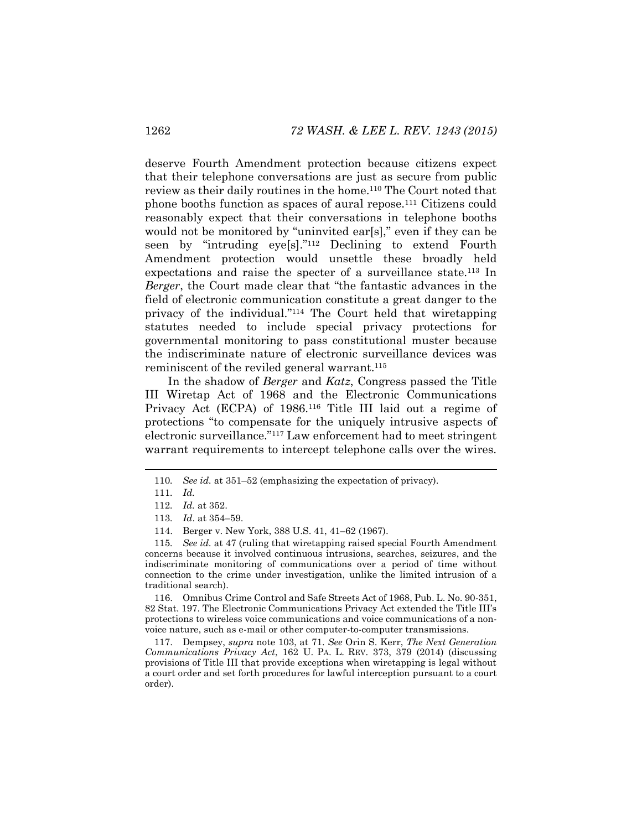deserve Fourth Amendment protection because citizens expect that their telephone conversations are just as secure from public review as their daily routines in the home.110 The Court noted that phone booths function as spaces of aural repose.111 Citizens could reasonably expect that their conversations in telephone booths would not be monitored by "uninvited ear[s]," even if they can be seen by "intruding eye[s]."<sup>112</sup> Declining to extend Fourth Amendment protection would unsettle these broadly held expectations and raise the specter of a surveillance state.<sup>113</sup> In *Berger*, the Court made clear that "the fantastic advances in the field of electronic communication constitute a great danger to the privacy of the individual."<sup>114</sup> The Court held that wiretapping statutes needed to include special privacy protections for governmental monitoring to pass constitutional muster because the indiscriminate nature of electronic surveillance devices was reminiscent of the reviled general warrant.<sup>115</sup>

In the shadow of *Berger* and *Katz*, Congress passed the Title III Wiretap Act of 1968 and the Electronic Communications Privacy Act (ECPA) of 1986.<sup>116</sup> Title III laid out a regime of protections "to compensate for the uniquely intrusive aspects of electronic surveillance."<sup>117</sup> Law enforcement had to meet stringent warrant requirements to intercept telephone calls over the wires.

116. Omnibus Crime Control and Safe Streets Act of 1968, Pub. L. No. 90-351, 82 Stat. 197. The Electronic Communications Privacy Act extended the Title III's protections to wireless voice communications and voice communications of a nonvoice nature, such as e-mail or other computer-to-computer transmissions.

117. Dempsey, *supra* note [103,](#page-19-0) at 71. *See* Orin S. Kerr, *The Next Generation Communications Privacy Act*, 162 U. PA. L. REV. 373, 379 (2014) (discussing provisions of Title III that provide exceptions when wiretapping is legal without a court order and set forth procedures for lawful interception pursuant to a court order).

<span id="page-20-0"></span> <sup>110</sup>*. See id.* at 351–<sup>52</sup> (emphasizing the expectation of privacy).

<sup>111</sup>*. Id.*

<sup>112</sup>*. Id.* at 352.

<sup>113</sup>*. Id*. at 354–59.

<sup>114.</sup> Berger v. New York, 388 U.S. 41, 41–62 (1967).

<sup>115</sup>*. See id.* at 47 (ruling that wiretapping raised special Fourth Amendment concerns because it involved continuous intrusions, searches, seizures, and the indiscriminate monitoring of communications over a period of time without connection to the crime under investigation, unlike the limited intrusion of a traditional search).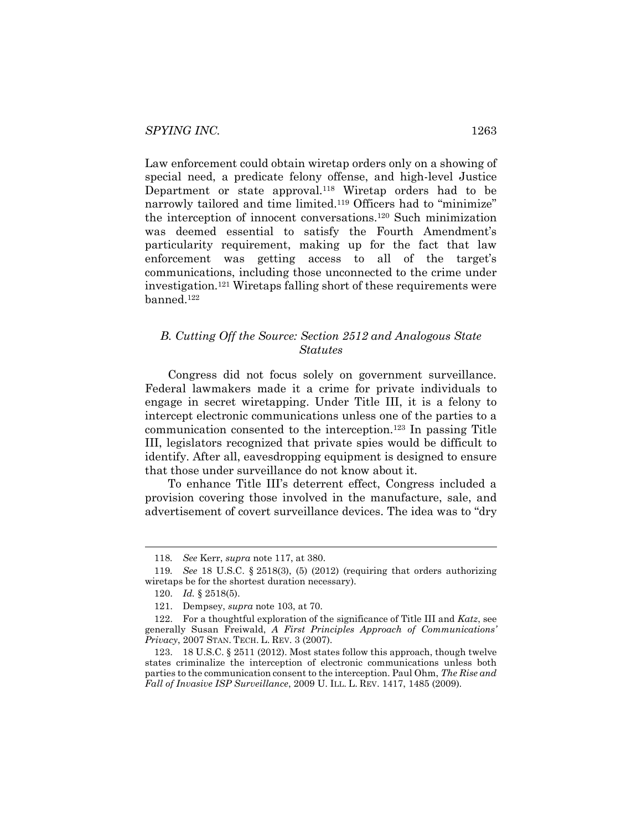Law enforcement could obtain wiretap orders only on a showing of special need, a predicate felony offense, and high-level Justice Department or state approval.<sup>118</sup> Wiretap orders had to be narrowly tailored and time limited.<sup>119</sup> Officers had to "minimize" the interception of innocent conversations.120 Such minimization was deemed essential to satisfy the Fourth Amendment's particularity requirement, making up for the fact that law enforcement was getting access to all of the target's communications, including those unconnected to the crime under investigation.121 Wiretaps falling short of these requirements were banned.122

### *B. Cutting Off the Source: Section 2512 and Analogous State Statutes*

Congress did not focus solely on government surveillance. Federal lawmakers made it a crime for private individuals to engage in secret wiretapping. Under Title III, it is a felony to intercept electronic communications unless one of the parties to a communication consented to the interception.123 In passing Title III, legislators recognized that private spies would be difficult to identify. After all, eavesdropping equipment is designed to ensure that those under surveillance do not know about it.

To enhance Title III's deterrent effect, Congress included a provision covering those involved in the manufacture, sale, and advertisement of covert surveillance devices. The idea was to "dry

 <sup>118</sup>*. See* Kerr, *supra* note [117,](#page-20-0) at 380.

<sup>119</sup>*. See* 18 U.S.C. § 2518(3), (5) (2012) (requiring that orders authorizing wiretaps be for the shortest duration necessary).

<sup>120.</sup> *Id.* § 2518(5).

<sup>121.</sup> Dempsey, *supra* note [103,](#page-19-0) at 70.

<sup>122.</sup> For a thoughtful exploration of the significance of Title III and *Katz*, see generally Susan Freiwald, *A First Principles Approach of Communications' Privacy*, 2007 STAN. TECH. L. REV. 3 (2007).

<sup>123.</sup> 18 U.S.C. § 2511 (2012). Most states follow this approach, though twelve states criminalize the interception of electronic communications unless both parties to the communication consent to the interception. Paul Ohm, *The Rise and Fall of Invasive ISP Surveillance*, 2009 U. ILL. L. REV. 1417, 1485 (2009).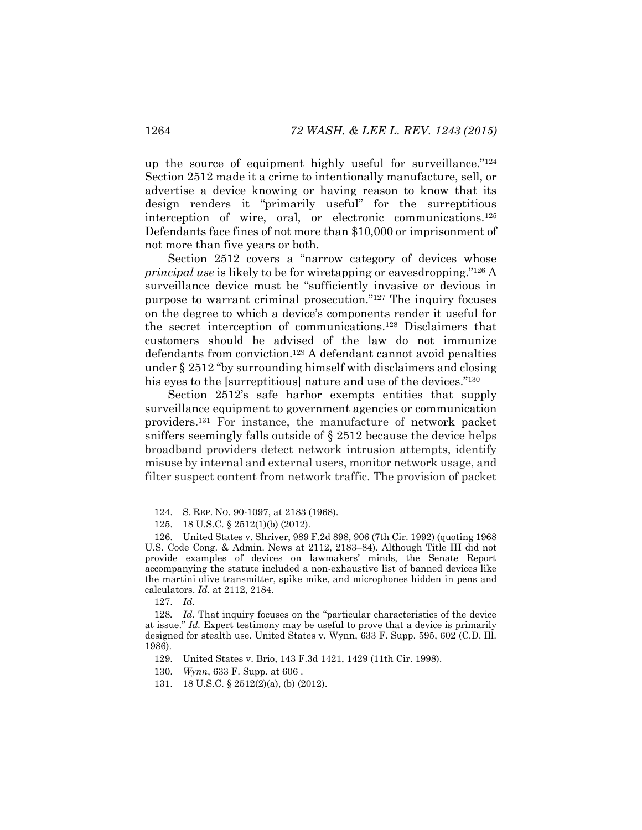up the source of equipment highly useful for surveillance."<sup>124</sup> Section 2512 made it a crime to intentionally manufacture, sell, or advertise a device knowing or having reason to know that its design renders it "primarily useful" for the surreptitious interception of wire, oral, or electronic communications.125 Defendants face fines of not more than \$10,000 or imprisonment of not more than five years or both.

Section 2512 covers a "narrow category of devices whose *principal use* is likely to be for wiretapping or eavesdropping."<sup>126</sup> A surveillance device must be "sufficiently invasive or devious in purpose to warrant criminal prosecution."<sup>127</sup> The inquiry focuses on the degree to which a device's components render it useful for the secret interception of communications.128 Disclaimers that customers should be advised of the law do not immunize defendants from conviction.129 A defendant cannot avoid penalties under § 2512 "by surrounding himself with disclaimers and closing his eyes to the [surreptitious] nature and use of the devices."<sup>130</sup>

Section 2512's safe harbor exempts entities that supply surveillance equipment to government agencies or communication providers. <sup>131</sup> For instance, the manufacture of network packet sniffers seemingly falls outside of § 2512 because the device helps broadband providers detect network intrusion attempts, identify misuse by internal and external users, monitor network usage, and filter suspect content from network traffic. The provision of packet

127. *Id.*

129. United States v. Brio, 143 F.3d 1421, 1429 (11th Cir. 1998).

- 130. *Wynn*, 633 F. Supp. at 606 .
- 131. 18 U.S.C. § 2512(2)(a), (b) (2012).

 <sup>124.</sup> S. REP. NO. 90-1097, at 2183 (1968).

<sup>125.</sup> 18 U.S.C. § 2512(1)(b) (2012).

<sup>126.</sup> United States v. Shriver, 989 F.2d 898, 906 (7th Cir. 1992) (quoting 1968 U.S. Code Cong. & Admin. News at 2112, 2183–84). Although Title III did not provide examples of devices on lawmakers' minds, the Senate Report accompanying the statute included a non-exhaustive list of banned devices like the martini olive transmitter, spike mike, and microphones hidden in pens and calculators. *Id.* at 2112, 2184.

<sup>128</sup>*. Id.* That inquiry focuses on the "particular characteristics of the device at issue." *Id.* Expert testimony may be useful to prove that a device is primarily designed for stealth use. United States v. Wynn, 633 F. Supp. 595, 602 (C.D. Ill. 1986).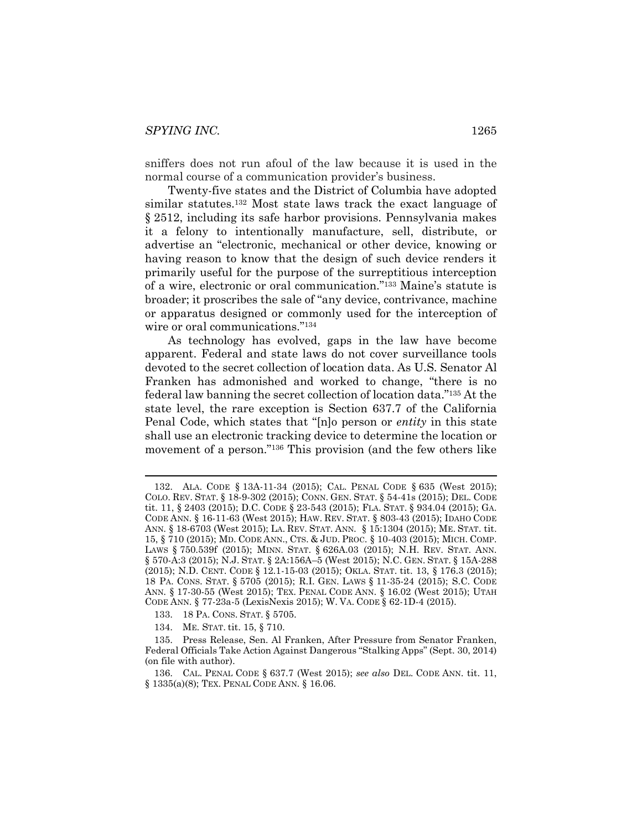sniffers does not run afoul of the law because it is used in the normal course of a communication provider's business.

<span id="page-23-0"></span>Twenty-five states and the District of Columbia have adopted similar statutes.132 Most state laws track the exact language of § 2512, including its safe harbor provisions. Pennsylvania makes it a felony to intentionally manufacture, sell, distribute, or advertise an "electronic, mechanical or other device, knowing or having reason to know that the design of such device renders it primarily useful for the purpose of the surreptitious interception of a wire, electronic or oral communication."<sup>133</sup> Maine's statute is broader; it proscribes the sale of "any device, contrivance, machine or apparatus designed or commonly used for the interception of wire or oral communications."<sup>134</sup>

As technology has evolved, gaps in the law have become apparent. Federal and state laws do not cover surveillance tools devoted to the secret collection of location data. As U.S. Senator Al Franken has admonished and worked to change, "there is no federal law banning the secret collection of location data."<sup>135</sup> At the state level, the rare exception is Section 637.7 of the California Penal Code, which states that "[n]o person or *entity* in this state shall use an electronic tracking device to determine the location or movement of a person."<sup>136</sup> This provision (and the few others like

- 133. 18 PA. CONS. STAT. § 5705.
- 134. ME. STAT. tit. 15, § 710.

 <sup>132.</sup> ALA. CODE § 13A-11-34 (2015); CAL. PENAL CODE § 635 (West 2015); COLO. REV. STAT. § 18-9-302 (2015); CONN. GEN. STAT. § 54-41s (2015); DEL. CODE tit. 11, § 2403 (2015); D.C. CODE § 23-543 (2015); FLA. STAT. § 934.04 (2015); GA. CODE ANN. § 16-11-63 (West 2015); HAW. REV. STAT. § 803-43 (2015); IDAHO CODE ANN. § 18-6703 (West 2015); LA. REV. STAT. ANN. § 15:1304 (2015); ME. STAT. tit. 15, § 710 (2015); MD. CODE ANN., CTS. & JUD. PROC. § 10-403 (2015); MICH. COMP. LAWS § 750.539f (2015); MINN. STAT. § 626A.03 (2015); N.H. REV. STAT. ANN. § 570-A:3 (2015); N.J. STAT. § 2A:156A–5 (West 2015); N.C. GEN. STAT. § 15A-288 (2015); N.D. CENT. CODE § 12.1-15-03 (2015); OKLA. STAT. tit. 13, § 176.3 (2015); 18 PA. CONS. STAT. § 5705 (2015); R.I. GEN. LAWS § 11-35-24 (2015); S.C. CODE ANN. § 17-30-55 (West 2015); TEX. PENAL CODE ANN. § 16.02 (West 2015); UTAH CODE ANN. § 77-23a-5 (LexisNexis 2015); W. VA. CODE § 62-1D-4 (2015).

<sup>135.</sup> Press Release, Sen. Al Franken, After Pressure from Senator Franken, Federal Officials Take Action Against Dangerous "Stalking Apps" (Sept. 30, 2014) (on file with author).

<sup>136.</sup> CAL. PENAL CODE § 637.7 (West 2015); *see also* DEL. CODE ANN. tit. 11, § 1335(a)(8); TEX. PENAL CODE ANN. § 16.06.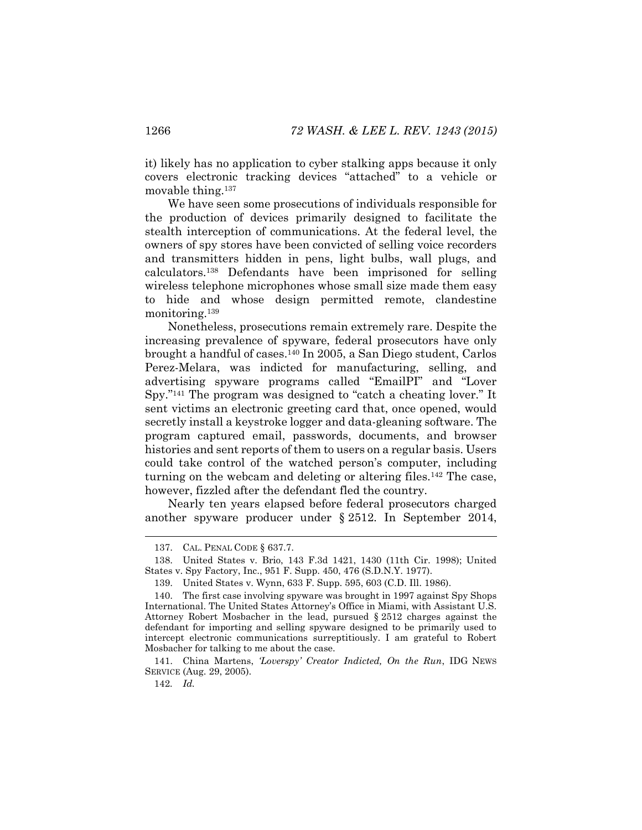it) likely has no application to cyber stalking apps because it only covers electronic tracking devices "attached" to a vehicle or movable thing.137

We have seen some prosecutions of individuals responsible for the production of devices primarily designed to facilitate the stealth interception of communications. At the federal level, the owners of spy stores have been convicted of selling voice recorders and transmitters hidden in pens, light bulbs, wall plugs, and calculators.138 Defendants have been imprisoned for selling wireless telephone microphones whose small size made them easy to hide and whose design permitted remote, clandestine monitoring.139

Nonetheless, prosecutions remain extremely rare. Despite the increasing prevalence of spyware, federal prosecutors have only brought a handful of cases.140 In 2005, a San Diego student, Carlos Perez-Melara, was indicted for manufacturing, selling, and advertising spyware programs called "EmailPI" and "Lover Spy."<sup>141</sup> The program was designed to "catch a cheating lover." It sent victims an electronic greeting card that, once opened, would secretly install a keystroke logger and data-gleaning software. The program captured email, passwords, documents, and browser histories and sent reports of them to users on a regular basis. Users could take control of the watched person's computer, including turning on the webcam and deleting or altering files.<sup>142</sup> The case, however, fizzled after the defendant fled the country.

Nearly ten years elapsed before federal prosecutors charged another spyware producer under § 2512. In September 2014,

142*. Id.*

 <sup>137.</sup> CAL. PENAL CODE § 637.7.

<sup>138.</sup> United States v. Brio, 143 F.3d 1421, 1430 (11th Cir. 1998); United States v. Spy Factory, Inc., 951 F. Supp. 450, 476 (S.D.N.Y. 1977).

<sup>139.</sup> United States v. Wynn, 633 F. Supp. 595, 603 (C.D. Ill. 1986).

<sup>140.</sup> The first case involving spyware was brought in 1997 against Spy Shops International. The United States Attorney's Office in Miami, with Assistant U.S. Attorney Robert Mosbacher in the lead, pursued § 2512 charges against the defendant for importing and selling spyware designed to be primarily used to intercept electronic communications surreptitiously. I am grateful to Robert Mosbacher for talking to me about the case.

<sup>141.</sup> China Martens, *'Loverspy' Creator Indicted, On the Run*, IDG NEWS SERVICE (Aug. 29, 2005).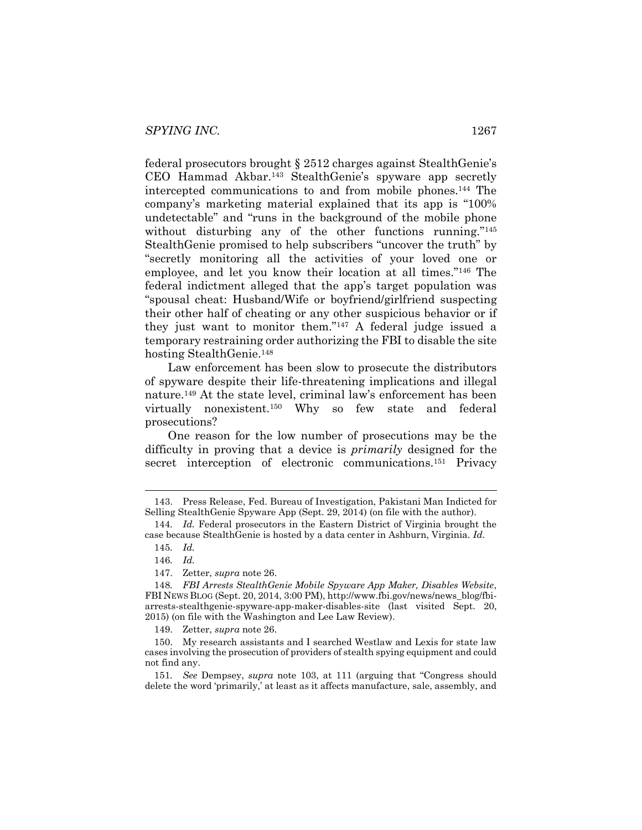federal prosecutors brought § 2512 charges against StealthGenie's CEO Hammad Akbar.143 StealthGenie's spyware app secretly intercepted communications to and from mobile phones.144 The company's marketing material explained that its app is "100% undetectable" and "runs in the background of the mobile phone without disturbing any of the other functions running."<sup>145</sup> StealthGenie promised to help subscribers "uncover the truth" by "secretly monitoring all the activities of your loved one or employee, and let you know their location at all times."<sup>146</sup> The federal indictment alleged that the app's target population was "spousal cheat: Husband/Wife or boyfriend/girlfriend suspecting their other half of cheating or any other suspicious behavior or if they just want to monitor them."<sup>147</sup> A federal judge issued a temporary restraining order authorizing the FBI to disable the site hosting StealthGenie.<sup>148</sup>

Law enforcement has been slow to prosecute the distributors of spyware despite their life-threatening implications and illegal nature.149 At the state level, criminal law's enforcement has been virtually nonexistent.150 Why so few state and federal prosecutions?

<span id="page-25-0"></span>One reason for the low number of prosecutions may be the difficulty in proving that a device is *primarily* designed for the secret interception of electronic communications.<sup>151</sup> Privacy

147. Zetter, *supra* note [26.](#page-6-0)

149. Zetter, *supra* note [26.](#page-6-0)

 <sup>143.</sup> Press Release, Fed. Bureau of Investigation, Pakistani Man Indicted for Selling StealthGenie Spyware App (Sept. 29, 2014) (on file with the author).

<sup>144</sup>*. Id.* Federal prosecutors in the Eastern District of Virginia brought the case because StealthGenie is hosted by a data center in Ashburn, Virginia. *Id.*

<sup>145</sup>*. Id.*

<sup>146</sup>*. Id.*

<sup>148</sup>*. FBI Arrests StealthGenie Mobile Spyware App Maker, Disables Website*, FBI NEWS BLOG (Sept. 20, 2014, 3:00 PM), http://www.fbi.gov/news/news\_blog/fbiarrests-stealthgenie-spyware-app-maker-disables-site (last visited Sept. 20, 2015) (on file with the Washington and Lee Law Review).

<sup>150.</sup> My research assistants and I searched Westlaw and Lexis for state law cases involving the prosecution of providers of stealth spying equipment and could not find any.

<sup>151</sup>*. See* Dempsey, *supra* note [103](#page-19-0), at 111 (arguing that "Congress should delete the word 'primarily,' at least as it affects manufacture, sale, assembly, and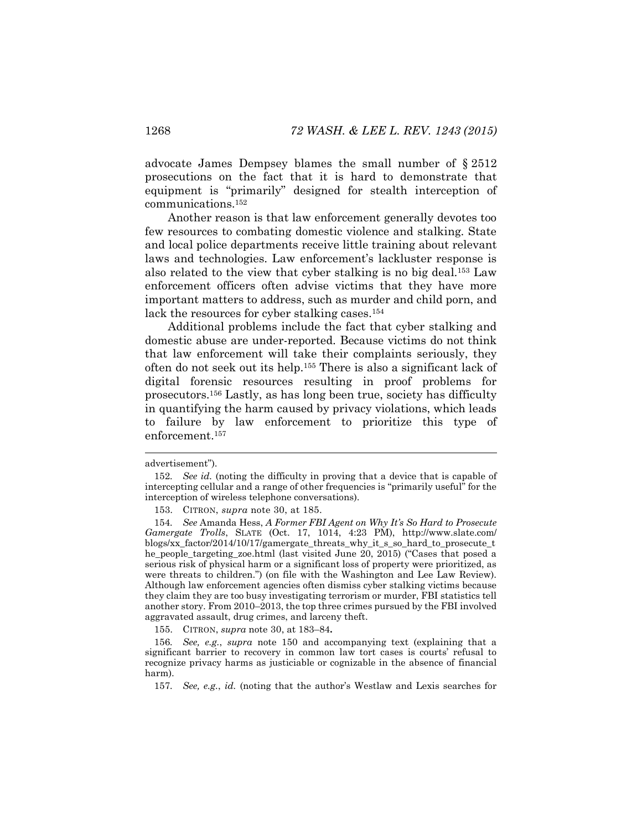advocate James Dempsey blames the small number of § 2512 prosecutions on the fact that it is hard to demonstrate that equipment is "primarily" designed for stealth interception of communications.152

Another reason is that law enforcement generally devotes too few resources to combating domestic violence and stalking. State and local police departments receive little training about relevant laws and technologies. Law enforcement's lackluster response is also related to the view that cyber stalking is no big deal.153 Law enforcement officers often advise victims that they have more important matters to address, such as murder and child porn, and lack the resources for cyber stalking cases.154

<span id="page-26-0"></span>Additional problems include the fact that cyber stalking and domestic abuse are under-reported. Because victims do not think that law enforcement will take their complaints seriously, they often do not seek out its help.155 There is also a significant lack of digital forensic resources resulting in proof problems for prosecutors.156 Lastly, as has long been true, society has difficulty in quantifying the harm caused by privacy violations, which leads to failure by law enforcement to prioritize this type of enforcement.157

l

155. CITRON, *supra* note [30,](#page-7-0) at 183–84**.**

156*. See, e.g.*, *supra* note [150](#page-25-0) and accompanying text (explaining that a significant barrier to recovery in common law tort cases is courts' refusal to recognize privacy harms as justiciable or cognizable in the absence of financial harm).

157*. See, e.g.*, *id.* (noting that the author's Westlaw and Lexis searches for

advertisement").

<sup>152</sup>*. See id.* (noting the difficulty in proving that a device that is capable of intercepting cellular and a range of other frequencies is "primarily useful" for the interception of wireless telephone conversations).

<sup>153.</sup> CITRON, *supra* note [30,](#page-7-0) at 185.

<sup>154</sup>*. See* Amanda Hess, *A Former FBI Agent on Why It's So Hard to Prosecute Gamergate Trolls*, SLATE (Oct. 17, 1014, 4:23 PM), http://www.slate.com/ blogs/xx\_factor/2014/10/17/gamergate\_threats\_why\_it\_s\_so\_hard\_to\_prosecute\_t he\_people\_targeting\_zoe.html (last visited June 20, 2015) ("Cases that posed a serious risk of physical harm or a significant loss of property were prioritized, as were threats to children.") (on file with the Washington and Lee Law Review). Although law enforcement agencies often dismiss cyber stalking victims because they claim they are too busy investigating terrorism or murder, FBI statistics tell another story. From 2010–2013, the top three crimes pursued by the FBI involved aggravated assault, drug crimes, and larceny theft.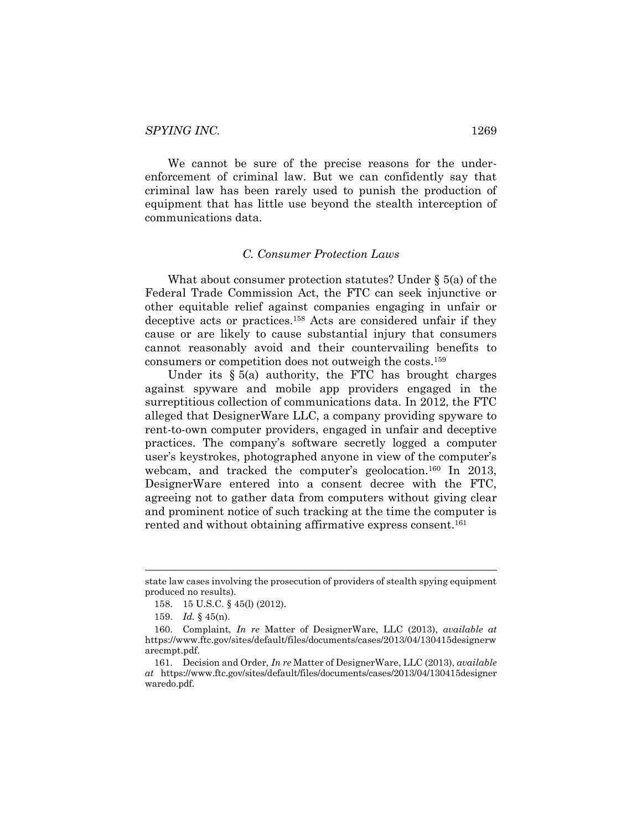We cannot be sure of the precise reasons for the underenforcement of criminal law. But we can confidently say that criminal law has been rarely used to punish the production of equipment that has little use beyond the stealth interception of communications data.

#### *C. Consumer Protection Laws*

What about consumer protection statutes? Under § 5(a) of the Federal Trade Commission Act, the FTC can seek injunctive or other equitable relief against companies engaging in unfair or deceptive acts or practices.158 Acts are considered unfair if they cause or are likely to cause substantial injury that consumers cannot reasonably avoid and their countervailing benefits to consumers or competition does not outweigh the costs.159

Under its  $\S 5(a)$  authority, the FTC has brought charges against spyware and mobile app providers engaged in the surreptitious collection of communications data. In 2012, the FTC alleged that DesignerWare LLC, a company providing spyware to rent-to-own computer providers, engaged in unfair and deceptive practices. The company's software secretly logged a computer user's keystrokes, photographed anyone in view of the computer's webcam, and tracked the computer's geolocation.<sup>160</sup> In 2013, DesignerWare entered into a consent decree with the FTC, agreeing not to gather data from computers without giving clear and prominent notice of such tracking at the time the computer is rented and without obtaining affirmative express consent.<sup>161</sup>

state law cases involving the prosecution of providers of stealth spying equipment produced no results).

<sup>158.</sup> 15 U.S.C. § 45(l) (2012).

<sup>159.</sup> *Id.* § 45(n).

<sup>160.</sup> Complaint*, In re* Matter of DesignerWare, LLC (2013), *available at* https://www.ftc.gov/sites/default/files/documents/cases/2013/04/130415designerw arecmpt.pdf.

<sup>161.</sup> Decision and Order*, In re* Matter of DesignerWare, LLC (2013), *available at* https://www.ftc.gov/sites/default/files/documents/cases/2013/04/130415designer waredo.pdf.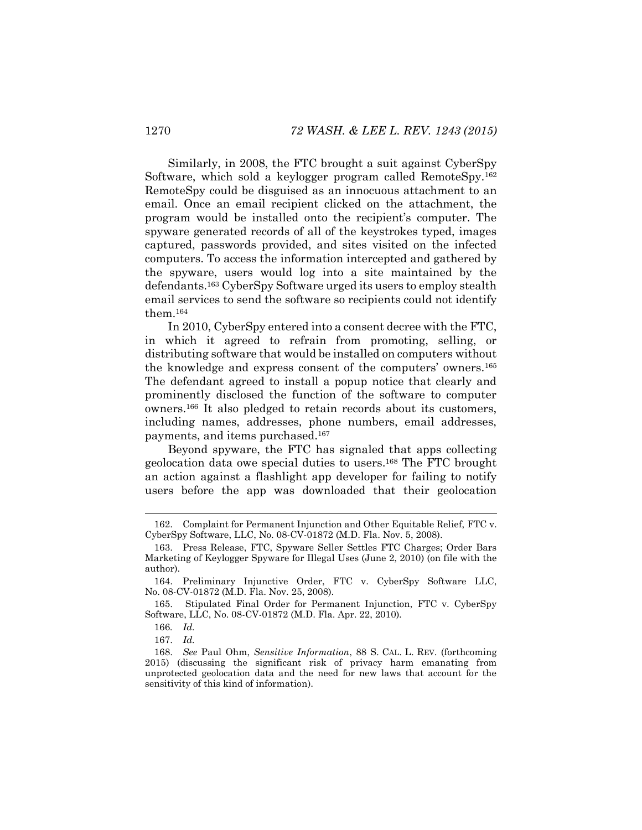Similarly, in 2008, the FTC brought a suit against CyberSpy Software, which sold a keylogger program called RemoteSpy.<sup>162</sup> RemoteSpy could be disguised as an innocuous attachment to an email. Once an email recipient clicked on the attachment, the program would be installed onto the recipient's computer. The spyware generated records of all of the keystrokes typed, images captured, passwords provided, and sites visited on the infected computers. To access the information intercepted and gathered by the spyware, users would log into a site maintained by the defendants.163 CyberSpy Software urged its users to employ stealth email services to send the software so recipients could not identify them.164

In 2010, CyberSpy entered into a consent decree with the FTC, in which it agreed to refrain from promoting, selling, or distributing software that would be installed on computers without the knowledge and express consent of the computers' owners.<sup>165</sup> The defendant agreed to install a popup notice that clearly and prominently disclosed the function of the software to computer owners.166 It also pledged to retain records about its customers, including names, addresses, phone numbers, email addresses, payments, and items purchased.167

Beyond spyware, the FTC has signaled that apps collecting geolocation data owe special duties to users.168 The FTC brought an action against a flashlight app developer for failing to notify users before the app was downloaded that their geolocation

 <sup>162.</sup> Complaint for Permanent Injunction and Other Equitable Relief, FTC v. CyberSpy Software, LLC, No. 08-CV-01872 (M.D. Fla. Nov. 5, 2008).

<sup>163.</sup> Press Release, FTC, Spyware Seller Settles FTC Charges; Order Bars Marketing of Keylogger Spyware for Illegal Uses (June 2, 2010) (on file with the author).

<sup>164.</sup> Preliminary Injunctive Order, FTC v. CyberSpy Software LLC, No. 08-CV-01872 (M.D. Fla. Nov. 25, 2008).

<sup>165.</sup> Stipulated Final Order for Permanent Injunction, FTC v. CyberSpy Software, LLC, No. 08-CV-01872 (M.D. Fla. Apr. 22, 2010).

<sup>166</sup>*. Id.*

<sup>167.</sup> *Id.*

<sup>168.</sup> *See* Paul Ohm, *Sensitive Information*, 88 S. CAL. L. REV. (forthcoming 2015) (discussing the significant risk of privacy harm emanating from unprotected geolocation data and the need for new laws that account for the sensitivity of this kind of information).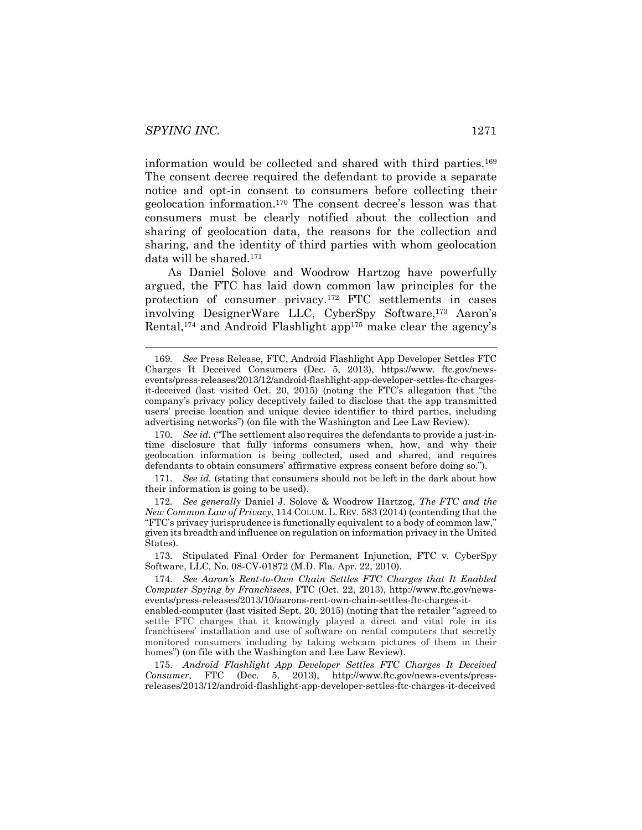information would be collected and shared with third parties.169 The consent decree required the defendant to provide a separate notice and opt-in consent to consumers before collecting their geolocation information.170 The consent decree's lesson was that consumers must be clearly notified about the collection and sharing of geolocation data, the reasons for the collection and sharing, and the identity of third parties with whom geolocation data will be shared.171

As Daniel Solove and Woodrow Hartzog have powerfully argued, the FTC has laid down common law principles for the protection of consumer privacy.172 FTC settlements in cases involving DesignerWare LLC, CyberSpy Software,173 Aaron's Rental,<sup>174</sup> and Android Flashlight app<sup>175</sup> make clear the agency's

170*. See id.* ("The settlement also requires the defendants to provide a just-intime disclosure that fully informs consumers when, how, and why their geolocation information is being collected, used and shared, and requires defendants to obtain consumers' affirmative express consent before doing so.").

171*. See id.* (stating that consumers should not be left in the dark about how their information is going to be used).

172*. See generally* Daniel J. Solove & Woodrow Hartzog, *The FTC and the New Common Law of Privacy*, 114 COLUM. L. REV. 583 (2014) (contending that the "FTC's privacy jurisprudence is functionally equivalent to a body of common law," given its breadth and influence on regulation on information privacy in the United States).

173*.* Stipulated Final Order for Permanent Injunction, FTC v. CyberSpy Software, LLC, No. 08-CV-01872 (M.D. Fla. Apr. 22, 2010).

174*. See Aaron's Rent-to-Own Chain Settles FTC Charges that It Enabled Computer Spying by Franchisees*, FTC (Oct. 22, 2013), http://www.ftc.gov/newsevents/press-releases/2013/10/aarons-rent-own-chain-settles-ftc-charges-it-

enabled-computer (last visited Sept. 20, 2015) (noting that the retailer "agreed to settle FTC charges that it knowingly played a direct and vital role in its franchisees' installation and use of software on rental computers that secretly monitored consumers including by taking webcam pictures of them in their homes") (on file with the Washington and Lee Law Review).

175. *Android Flashlight App Developer Settles FTC Charges It Deceived Consumer*, FTC (Dec. 5, 2013), http://www.ftc.gov/news-events/pressreleases/2013/12/android-flashlight-app-developer-settles-ftc-charges-it-deceived

 <sup>169</sup>*. See* Press Release, FTC, Android Flashlight App Developer Settles FTC Charges It Deceived Consumers (Dec. 5, 2013), https://www. ftc.gov/newsevents/press-releases/2013/12/android-flashlight-app-developer-settles-ftc-chargesit-deceived (last visited Oct. 20, 2015) (noting the FTC's allegation that "the company's privacy policy deceptively failed to disclose that the app transmitted users' precise location and unique device identifier to third parties, including advertising networks") (on file with the Washington and Lee Law Review).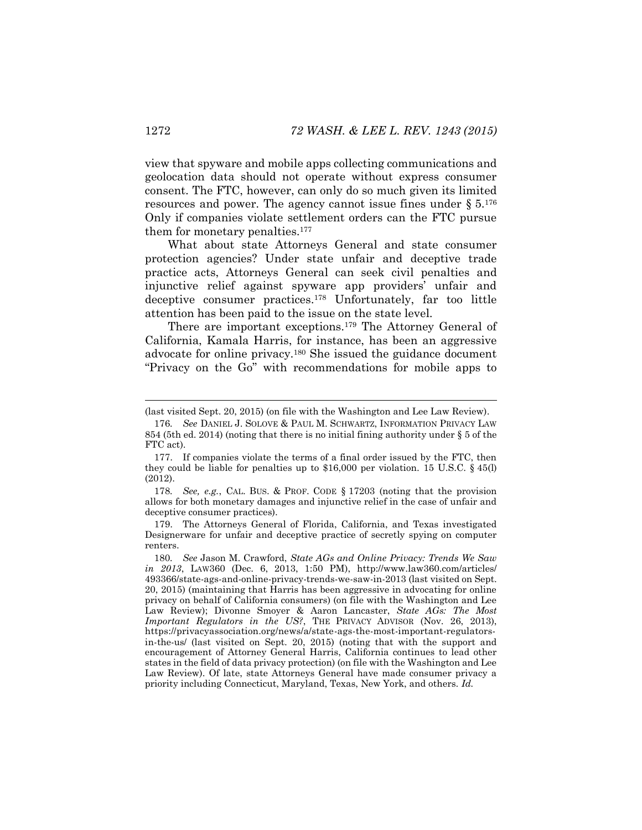view that spyware and mobile apps collecting communications and geolocation data should not operate without express consumer consent. The FTC, however, can only do so much given its limited resources and power. The agency cannot issue fines under  $\S 5.176$ Only if companies violate settlement orders can the FTC pursue them for monetary penalties.<sup>177</sup>

What about state Attorneys General and state consumer protection agencies? Under state unfair and deceptive trade practice acts, Attorneys General can seek civil penalties and injunctive relief against spyware app providers' unfair and deceptive consumer practices.178 Unfortunately, far too little attention has been paid to the issue on the state level.

There are important exceptions.179 The Attorney General of California, Kamala Harris, for instance, has been an aggressive advocate for online privacy.180 She issued the guidance document "Privacy on the Go" with recommendations for mobile apps to

179. The Attorneys General of Florida, California, and Texas investigated Designerware for unfair and deceptive practice of secretly spying on computer renters.

 <sup>(</sup>last visited Sept. 20, 2015) (on file with the Washington and Lee Law Review).

<sup>176</sup>*. See* DANIEL J. SOLOVE & PAUL M. SCHWARTZ, INFORMATION PRIVACY LAW 854 (5th ed. 2014) (noting that there is no initial fining authority under § 5 of the FTC act).

<sup>177.</sup> If companies violate the terms of a final order issued by the FTC, then they could be liable for penalties up to  $$16,000$  per violation. 15 U.S.C.  $§$  45(l) (2012).

<sup>178</sup>*. See, e.g.*, CAL. BUS. & PROF. CODE § 17203 (noting that the provision allows for both monetary damages and injunctive relief in the case of unfair and deceptive consumer practices).

<sup>180</sup>*. See* Jason M. Crawford, *State AGs and Online Privacy: Trends We Saw in 2013*, LAW360 (Dec. 6, 2013, 1:50 PM), http://www.law360.com/articles/ 493366/state-ags-and-online-privacy-trends-we-saw-in-2013 (last visited on Sept. 20, 2015) (maintaining that Harris has been aggressive in advocating for online privacy on behalf of California consumers) (on file with the Washington and Lee Law Review); Divonne Smoyer & Aaron Lancaster, *State AGs: The Most Important Regulators in the US?*, THE PRIVACY ADVISOR (Nov. 26, 2013), https://privacyassociation.org/news/a/state-ags-the-most-important-regulatorsin-the-us/ (last visited on Sept. 20, 2015) (noting that with the support and encouragement of Attorney General Harris, California continues to lead other states in the field of data privacy protection) (on file with the Washington and Lee Law Review). Of late, state Attorneys General have made consumer privacy a priority including Connecticut, Maryland, Texas, New York, and others. *Id.*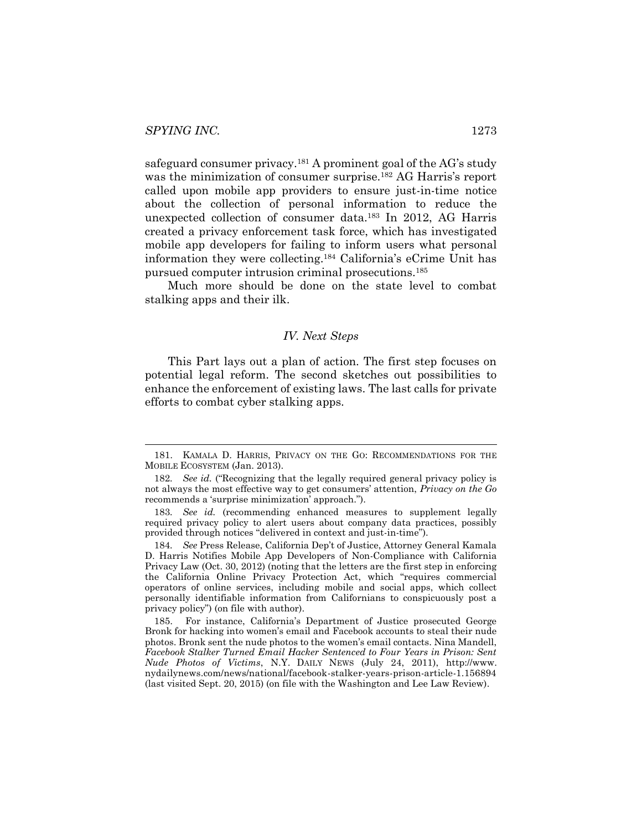safeguard consumer privacy.181 A prominent goal of the AG's study was the minimization of consumer surprise.<sup>182</sup> AG Harris's report called upon mobile app providers to ensure just-in-time notice about the collection of personal information to reduce the unexpected collection of consumer data.183 In 2012, AG Harris created a privacy enforcement task force, which has investigated mobile app developers for failing to inform users what personal information they were collecting.184 California's eCrime Unit has pursued computer intrusion criminal prosecutions.185

Much more should be done on the state level to combat stalking apps and their ilk.

#### *IV. Next Steps*

This Part lays out a plan of action. The first step focuses on potential legal reform. The second sketches out possibilities to enhance the enforcement of existing laws. The last calls for private efforts to combat cyber stalking apps.

 <sup>181.</sup> KAMALA D. HARRIS, PRIVACY ON THE GO: RECOMMENDATIONS FOR THE MOBILE ECOSYSTEM (Jan. 2013).

<sup>182</sup>*. See id.* ("Recognizing that the legally required general privacy policy is not always the most effective way to get consumers' attention, *Privacy on the Go*  recommends a 'surprise minimization' approach.").

<sup>183</sup>*. See id.* (recommending enhanced measures to supplement legally required privacy policy to alert users about company data practices, possibly provided through notices "delivered in context and just-in-time").

<sup>184</sup>*. See* Press Release, California Dep't of Justice, Attorney General Kamala D. Harris Notifies Mobile App Developers of Non-Compliance with California Privacy Law (Oct. 30, 2012) (noting that the letters are the first step in enforcing the California Online Privacy Protection Act, which "requires commercial operators of online services, including mobile and social apps, which collect personally identifiable information from Californians to conspicuously post a privacy policy") (on file with author).

<sup>185.</sup> For instance, California's Department of Justice prosecuted George Bronk for hacking into women's email and Facebook accounts to steal their nude photos. Bronk sent the nude photos to the women's email contacts. Nina Mandell, *Facebook Stalker Turned Email Hacker Sentenced to Four Years in Prison: Sent Nude Photos of Victims*, N.Y. DAILY NEWS (July 24, 2011), http://www. nydailynews.com/news/national/facebook-stalker-years-prison-article-1.156894 (last visited Sept. 20, 2015) (on file with the Washington and Lee Law Review).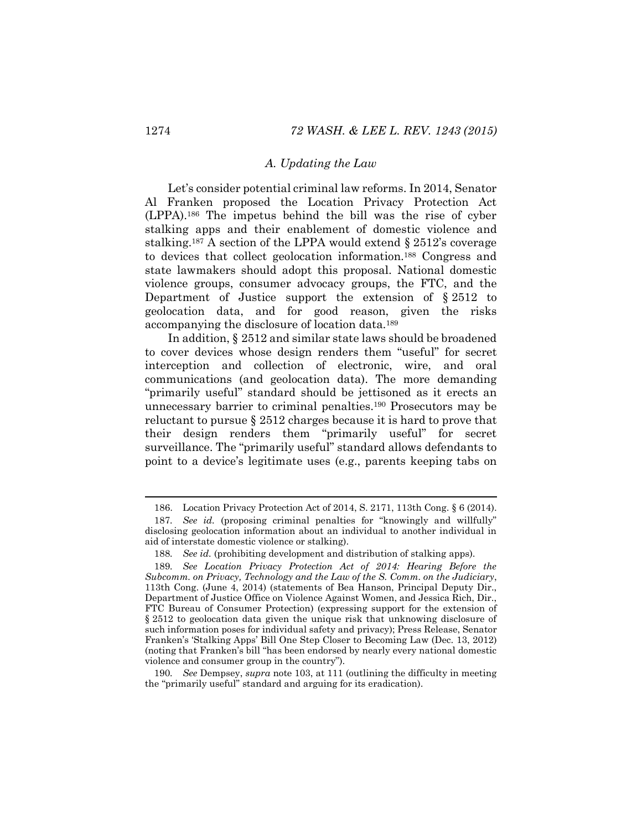#### *A. Updating the Law*

Let's consider potential criminal law reforms. In 2014, Senator Al Franken proposed the Location Privacy Protection Act (LPPA).186 The impetus behind the bill was the rise of cyber stalking apps and their enablement of domestic violence and stalking.187 A section of the LPPA would extend § 2512's coverage to devices that collect geolocation information.188 Congress and state lawmakers should adopt this proposal. National domestic violence groups, consumer advocacy groups, the FTC, and the Department of Justice support the extension of  $\S 2512$  to geolocation data, and for good reason, given the risks accompanying the disclosure of location data.189

In addition, § 2512 and similar state laws should be broadened to cover devices whose design renders them "useful" for secret interception and collection of electronic, wire, and oral communications (and geolocation data). The more demanding "primarily useful" standard should be jettisoned as it erects an unnecessary barrier to criminal penalties.190 Prosecutors may be reluctant to pursue § 2512 charges because it is hard to prove that their design renders them "primarily useful" for secret surveillance. The "primarily useful" standard allows defendants to point to a device's legitimate uses (e.g., parents keeping tabs on

190*. See* Dempsey, *supra* note [103,](#page-19-0) at 111 (outlining the difficulty in meeting the "primarily useful" standard and arguing for its eradication).

 <sup>186.</sup> Location Privacy Protection Act of 2014, S. 2171, 113th Cong. § 6 (2014). 187*. See id.* (proposing criminal penalties for "knowingly and willfully" disclosing geolocation information about an individual to another individual in aid of interstate domestic violence or stalking).

<sup>188</sup>*. See id.* (prohibiting development and distribution of stalking apps).

<sup>189</sup>*. See Location Privacy Protection Act of 2014: Hearing Before the Subcomm. on Privacy, Technology and the Law of the S. Comm. on the Judiciary*, 113th Cong. (June 4, 2014) (statements of Bea Hanson, Principal Deputy Dir., Department of Justice Office on Violence Against Women, and Jessica Rich, Dir., FTC Bureau of Consumer Protection) (expressing support for the extension of § 2512 to geolocation data given the unique risk that unknowing disclosure of such information poses for individual safety and privacy); Press Release, Senator Franken's 'Stalking Apps' Bill One Step Closer to Becoming Law (Dec. 13, 2012) (noting that Franken's bill "has been endorsed by nearly every national domestic violence and consumer group in the country").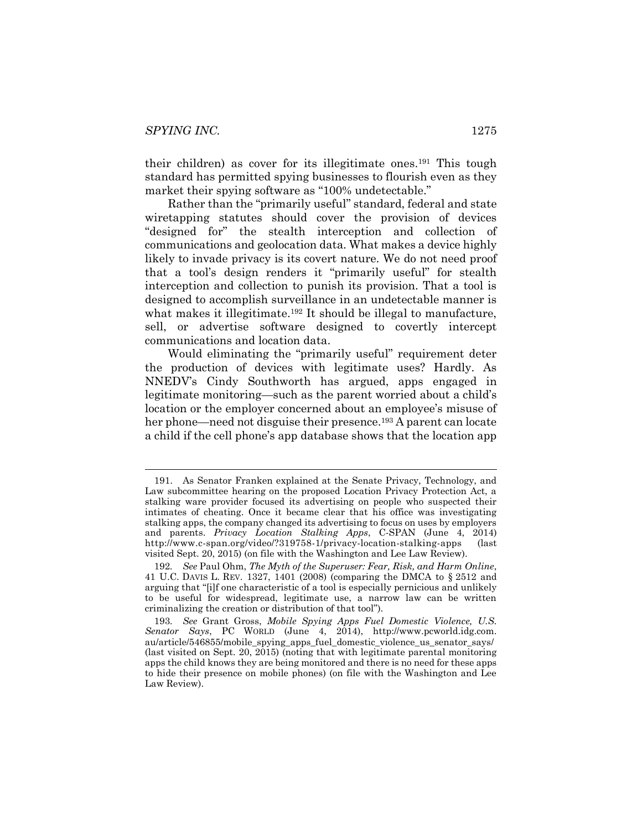<span id="page-33-1"></span>their children) as cover for its illegitimate ones.191 This tough standard has permitted spying businesses to flourish even as they market their spying software as "100% undetectable."

Rather than the "primarily useful" standard, federal and state wiretapping statutes should cover the provision of devices "designed for" the stealth interception and collection of communications and geolocation data. What makes a device highly likely to invade privacy is its covert nature. We do not need proof that a tool's design renders it "primarily useful" for stealth interception and collection to punish its provision. That a tool is designed to accomplish surveillance in an undetectable manner is what makes it illegitimate.<sup>192</sup> It should be illegal to manufacture, sell, or advertise software designed to covertly intercept communications and location data.

<span id="page-33-0"></span>Would eliminating the "primarily useful" requirement deter the production of devices with legitimate uses? Hardly. As NNEDV's Cindy Southworth has argued, apps engaged in legitimate monitoring—such as the parent worried about a child's location or the employer concerned about an employee's misuse of her phone—need not disguise their presence.<sup>193</sup> A parent can locate a child if the cell phone's app database shows that the location app

 <sup>191.</sup> As Senator Franken explained at the Senate Privacy, Technology, and Law subcommittee hearing on the proposed Location Privacy Protection Act, a stalking ware provider focused its advertising on people who suspected their intimates of cheating. Once it became clear that his office was investigating stalking apps, the company changed its advertising to focus on uses by employers and parents. *Privacy Location Stalking Apps*, C-SPAN (June 4, 2014) http://www.c-span.org/video/?319758-1/privacy-location-stalking-apps (last visited Sept. 20, 2015) (on file with the Washington and Lee Law Review).

<sup>192</sup>*. See* Paul Ohm, *The Myth of the Superuser: Fear, Risk, and Harm Online*, 41 U.C. DAVIS L. REV. 1327, 1401 (2008) (comparing the DMCA to § 2512 and arguing that "[i]f one characteristic of a tool is especially pernicious and unlikely to be useful for widespread, legitimate use, a narrow law can be written criminalizing the creation or distribution of that tool").

<sup>193</sup>*. See* Grant Gross, *Mobile Spying Apps Fuel Domestic Violence, U.S. Senator Says*, PC WORLD (June 4, 2014), http://www.pcworld.idg.com. au/article/546855/mobile\_spying\_apps\_fuel\_domestic\_violence\_us\_senator\_says/ (last visited on Sept. 20, 2015) (noting that with legitimate parental monitoring apps the child knows they are being monitored and there is no need for these apps to hide their presence on mobile phones) (on file with the Washington and Lee Law Review).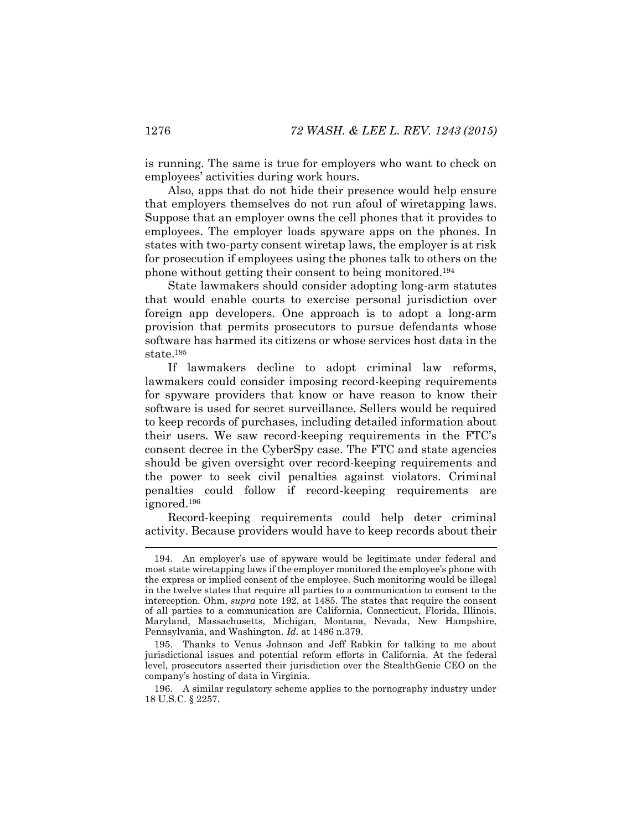is running. The same is true for employers who want to check on employees' activities during work hours.

Also, apps that do not hide their presence would help ensure that employers themselves do not run afoul of wiretapping laws. Suppose that an employer owns the cell phones that it provides to employees. The employer loads spyware apps on the phones. In states with two-party consent wiretap laws, the employer is at risk for prosecution if employees using the phones talk to others on the phone without getting their consent to being monitored.194

State lawmakers should consider adopting long-arm statutes that would enable courts to exercise personal jurisdiction over foreign app developers. One approach is to adopt a long-arm provision that permits prosecutors to pursue defendants whose software has harmed its citizens or whose services host data in the state.195

If lawmakers decline to adopt criminal law reforms, lawmakers could consider imposing record-keeping requirements for spyware providers that know or have reason to know their software is used for secret surveillance. Sellers would be required to keep records of purchases, including detailed information about their users. We saw record-keeping requirements in the FTC's consent decree in the CyberSpy case. The FTC and state agencies should be given oversight over record-keeping requirements and the power to seek civil penalties against violators. Criminal penalties could follow if record-keeping requirements are ignored.196

Record-keeping requirements could help deter criminal activity. Because providers would have to keep records about their

 <sup>194.</sup> An employer's use of spyware would be legitimate under federal and most state wiretapping laws if the employer monitored the employee's phone with the express or implied consent of the employee. Such monitoring would be illegal in the twelve states that require all parties to a communication to consent to the interception. Ohm, *supra* note [192,](#page-33-0) at 1485. The states that require the consent of all parties to a communication are California, Connecticut, Florida, Illinois, Maryland, Massachusetts, Michigan, Montana, Nevada, New Hampshire, Pennsylvania, and Washington. *Id*. at 1486 n.379.

<sup>195.</sup> Thanks to Venus Johnson and Jeff Rabkin for talking to me about jurisdictional issues and potential reform efforts in California. At the federal level, prosecutors asserted their jurisdiction over the StealthGenie CEO on the company's hosting of data in Virginia.

<sup>196.</sup> A similar regulatory scheme applies to the pornography industry under 18 U.S.C. § 2257.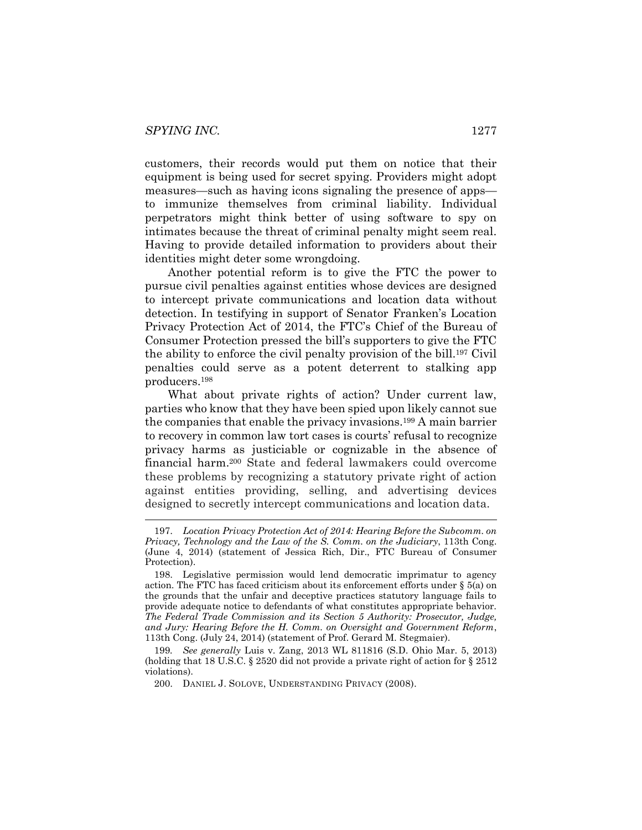customers, their records would put them on notice that their equipment is being used for secret spying. Providers might adopt measures—such as having icons signaling the presence of apps to immunize themselves from criminal liability. Individual perpetrators might think better of using software to spy on intimates because the threat of criminal penalty might seem real. Having to provide detailed information to providers about their identities might deter some wrongdoing.

Another potential reform is to give the FTC the power to pursue civil penalties against entities whose devices are designed to intercept private communications and location data without detection. In testifying in support of Senator Franken's Location Privacy Protection Act of 2014, the FTC's Chief of the Bureau of Consumer Protection pressed the bill's supporters to give the FTC the ability to enforce the civil penalty provision of the bill.197 Civil penalties could serve as a potent deterrent to stalking app producers.198

<span id="page-35-0"></span>What about private rights of action? Under current law, parties who know that they have been spied upon likely cannot sue the companies that enable the privacy invasions.199 A main barrier to recovery in common law tort cases is courts' refusal to recognize privacy harms as justiciable or cognizable in the absence of financial harm.200 State and federal lawmakers could overcome these problems by recognizing a statutory private right of action against entities providing, selling, and advertising devices designed to secretly intercept communications and location data.

199*. See generally* Luis v. Zang, 2013 WL 811816 (S.D. Ohio Mar. 5, 2013) (holding that 18 U.S.C. § 2520 did not provide a private right of action for § 2512 violations).

200. DANIEL J. SOLOVE, UNDERSTANDING PRIVACY (2008).

 <sup>197.</sup> *Location Privacy Protection Act of 2014: Hearing Before the Subcomm. on Privacy, Technology and the Law of the S. Comm. on the Judiciary*, 113th Cong. (June 4, 2014) (statement of Jessica Rich, Dir., FTC Bureau of Consumer Protection).

<sup>198.</sup> Legislative permission would lend democratic imprimatur to agency action. The FTC has faced criticism about its enforcement efforts under  $\S$  5(a) on the grounds that the unfair and deceptive practices statutory language fails to provide adequate notice to defendants of what constitutes appropriate behavior. *The Federal Trade Commission and its Section 5 Authority: Prosecutor, Judge, and Jury: Hearing Before the H. Comm. on Oversight and Government Reform*, 113th Cong. (July 24, 2014) (statement of Prof. Gerard M. Stegmaier).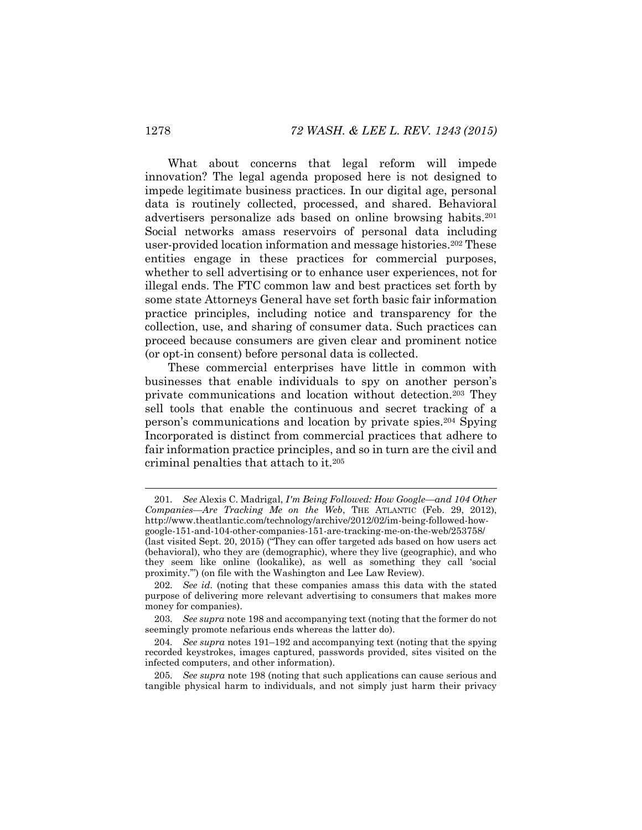What about concerns that legal reform will impede innovation? The legal agenda proposed here is not designed to impede legitimate business practices. In our digital age, personal data is routinely collected, processed, and shared. Behavioral advertisers personalize ads based on online browsing habits.201 Social networks amass reservoirs of personal data including user-provided location information and message histories.202 These entities engage in these practices for commercial purposes, whether to sell advertising or to enhance user experiences, not for illegal ends. The FTC common law and best practices set forth by some state Attorneys General have set forth basic fair information practice principles, including notice and transparency for the collection, use, and sharing of consumer data. Such practices can proceed because consumers are given clear and prominent notice (or opt-in consent) before personal data is collected.

These commercial enterprises have little in common with businesses that enable individuals to spy on another person's private communications and location without detection.203 They sell tools that enable the continuous and secret tracking of a person's communications and location by private spies.<sup>204</sup> Spying Incorporated is distinct from commercial practices that adhere to fair information practice principles, and so in turn are the civil and criminal penalties that attach to it.205

 <sup>201</sup>*. See* Alexis C. Madrigal, *I'm Being Followed: How Google—and 104 Other Companies—Are Tracking Me on the Web*, THE ATLANTIC (Feb. 29, 2012), http://www.theatlantic.com/technology/archive/2012/02/im-being-followed-howgoogle-151-and-104-other-companies-151-are-tracking-me-on-the-web/253758/

<sup>(</sup>last visited Sept. 20, 2015) ("They can offer targeted ads based on how users act (behavioral), who they are (demographic), where they live (geographic), and who they seem like online (lookalike), as well as something they call 'social proximity.'") (on file with the Washington and Lee Law Review).

<sup>202</sup>*. See id.* (noting that these companies amass this data with the stated purpose of delivering more relevant advertising to consumers that makes more money for companies).

<sup>203</sup>*. See supra* not[e 198](#page-35-0) and accompanying text (noting that the former do not seemingly promote nefarious ends whereas the latter do).

<sup>204</sup>*. See supra* notes [191](#page-33-1)–[192](#page-33-0) and accompanying text (noting that the spying recorded keystrokes, images captured, passwords provided, sites visited on the infected computers, and other information).

<sup>205</sup>*. See supra* note [198](#page-35-0) (noting that such applications can cause serious and tangible physical harm to individuals, and not simply just harm their privacy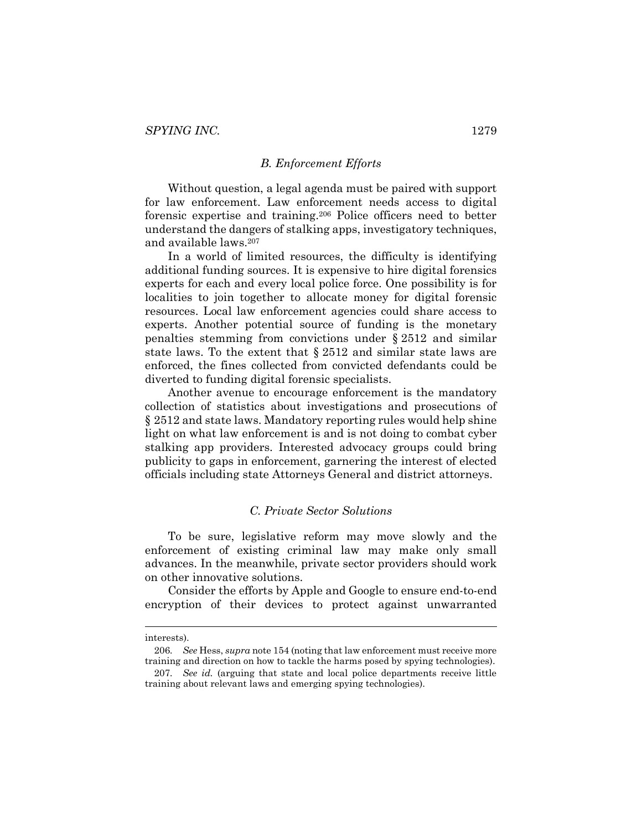#### *B. Enforcement Efforts*

Without question, a legal agenda must be paired with support for law enforcement. Law enforcement needs access to digital forensic expertise and training.206 Police officers need to better understand the dangers of stalking apps, investigatory techniques, and available laws.207

In a world of limited resources, the difficulty is identifying additional funding sources. It is expensive to hire digital forensics experts for each and every local police force. One possibility is for localities to join together to allocate money for digital forensic resources. Local law enforcement agencies could share access to experts. Another potential source of funding is the monetary penalties stemming from convictions under § 2512 and similar state laws. To the extent that § 2512 and similar state laws are enforced, the fines collected from convicted defendants could be diverted to funding digital forensic specialists.

Another avenue to encourage enforcement is the mandatory collection of statistics about investigations and prosecutions of § 2512 and state laws. Mandatory reporting rules would help shine light on what law enforcement is and is not doing to combat cyber stalking app providers. Interested advocacy groups could bring publicity to gaps in enforcement, garnering the interest of elected officials including state Attorneys General and district attorneys.

#### *C. Private Sector Solutions*

To be sure, legislative reform may move slowly and the enforcement of existing criminal law may make only small advances. In the meanwhile, private sector providers should work on other innovative solutions.

Consider the efforts by Apple and Google to ensure end-to-end encryption of their devices to protect against unwarranted

interests).

<sup>206</sup>*. See* Hess, *supra* not[e 154](#page-26-0) (noting that law enforcement must receive more training and direction on how to tackle the harms posed by spying technologies).

<sup>207</sup>*. See id.* (arguing that state and local police departments receive little training about relevant laws and emerging spying technologies).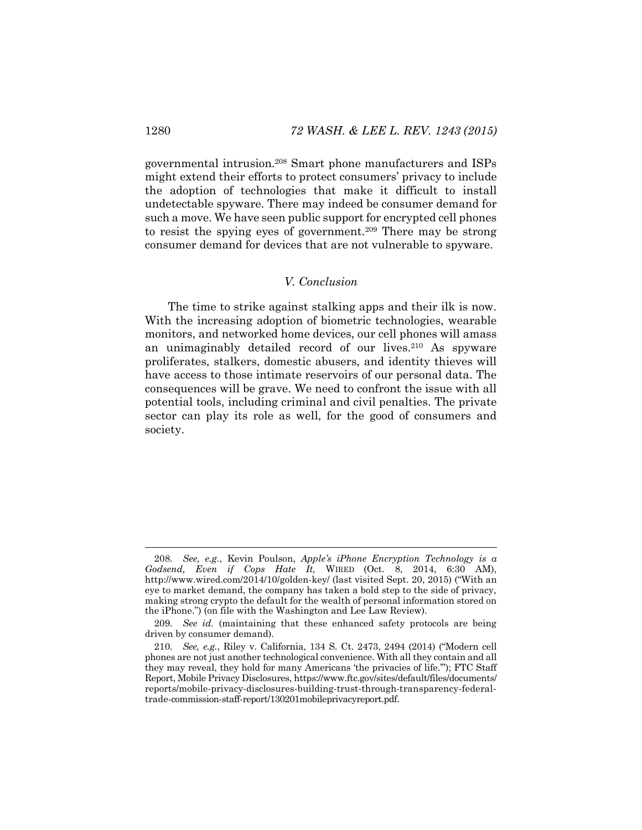governmental intrusion.208 Smart phone manufacturers and ISPs might extend their efforts to protect consumers' privacy to include the adoption of technologies that make it difficult to install undetectable spyware. There may indeed be consumer demand for such a move. We have seen public support for encrypted cell phones to resist the spying eyes of government.<sup>209</sup> There may be strong consumer demand for devices that are not vulnerable to spyware.

#### *V. Conclusion*

The time to strike against stalking apps and their ilk is now. With the increasing adoption of biometric technologies, wearable monitors, and networked home devices, our cell phones will amass an unimaginably detailed record of our lives.<sup>210</sup> As spyware proliferates, stalkers, domestic abusers, and identity thieves will have access to those intimate reservoirs of our personal data. The consequences will be grave. We need to confront the issue with all potential tools, including criminal and civil penalties. The private sector can play its role as well, for the good of consumers and society.

 <sup>208</sup>*. See, e.g.*, Kevin Poulson, *Apple's iPhone Encryption Technology is <sup>a</sup> Godsend, Even if Cops Hate It,* WIRED (Oct. 8, 2014, 6:30 AM), http://www.wired.com/2014/10/golden-key/ (last visited Sept. 20, 2015) ("With an eye to market demand, the company has taken a bold step to the side of privacy, making strong crypto the default for the wealth of personal information stored on the iPhone.") (on file with the Washington and Lee Law Review).

<sup>209</sup>*. See id.* (maintaining that these enhanced safety protocols are being driven by consumer demand).

<sup>210</sup>*. See, e.g.*, Riley v. California, 134 S. Ct. 2473, 2494 (2014) ("Modern cell phones are not just another technological convenience. With all they contain and all they may reveal, they hold for many Americans 'the privacies of life.'"); FTC Staff Report, Mobile Privacy Disclosures, https://www.ftc.gov/sites/default/files/documents/ reports/mobile-privacy-disclosures-building-trust-through-transparency-federaltrade-commission-staff-report/130201mobileprivacyreport.pdf.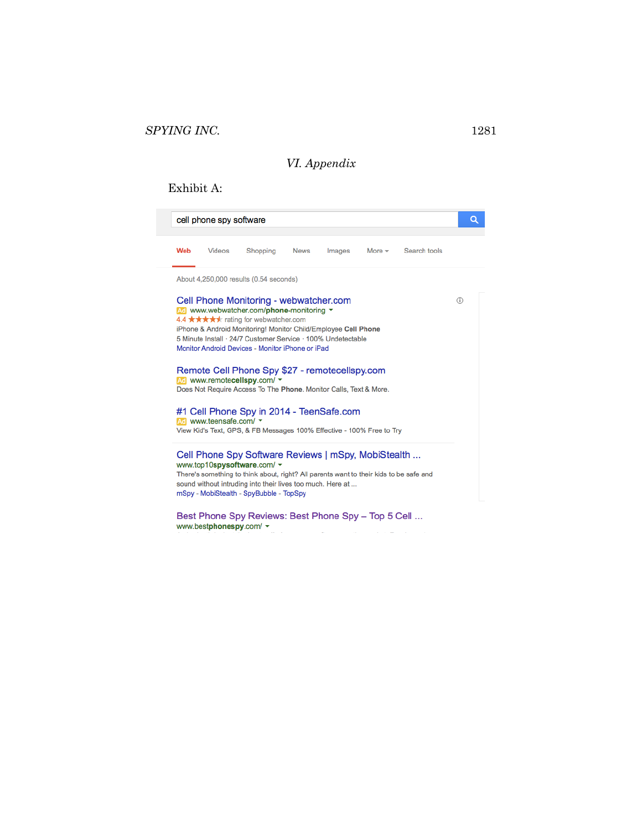## *VI. Appendix*

### Exhibit A:

| cell phone spy software |                                                            |                                                                                           |                                                                               |                                                                                                                                        |                                                                                                                                                                                                                                                                                                   | Q                                                                                                                                                                                                                      |
|-------------------------|------------------------------------------------------------|-------------------------------------------------------------------------------------------|-------------------------------------------------------------------------------|----------------------------------------------------------------------------------------------------------------------------------------|---------------------------------------------------------------------------------------------------------------------------------------------------------------------------------------------------------------------------------------------------------------------------------------------------|------------------------------------------------------------------------------------------------------------------------------------------------------------------------------------------------------------------------|
| Videos                  | Shopping                                                   | <b>News</b>                                                                               | Images                                                                        | More $=$                                                                                                                               | Search tools                                                                                                                                                                                                                                                                                      |                                                                                                                                                                                                                        |
|                         |                                                            |                                                                                           |                                                                               |                                                                                                                                        |                                                                                                                                                                                                                                                                                                   |                                                                                                                                                                                                                        |
|                         |                                                            |                                                                                           |                                                                               |                                                                                                                                        |                                                                                                                                                                                                                                                                                                   | ⋒                                                                                                                                                                                                                      |
|                         | sound without intruding into their lives too much. Here at |                                                                                           |                                                                               |                                                                                                                                        |                                                                                                                                                                                                                                                                                                   |                                                                                                                                                                                                                        |
|                         |                                                            | Ad www.remotecellspy.com/ $\sim$<br>Ad www.teensafe.com/ "<br>www.top10spysoftware.com/ ▼ | About 4,250,000 results (0.54 seconds)<br>4.4 ★★★★★ rating for webwatcher.com | Cell Phone Monitoring - webwatcher.com<br>Ad www.webwatcher.com/phone-monitoring *<br>Monitor Android Devices - Monitor iPhone or iPad | iPhone & Android Monitoring! Monitor Child/Employee Cell Phone<br>5 Minute Install · 24/7 Customer Service · 100% Undetectable<br>Remote Cell Phone Spy \$27 - remotecellspy.com<br>Does Not Require Access To The Phone. Monitor Calls, Text & More.<br>#1 Cell Phone Spy in 2014 - TeenSafe.com | View Kid's Text, GPS, & FB Messages 100% Effective - 100% Free to Try<br>Cell Phone Spy Software Reviews   mSpy, MobiStealth<br>There's something to think about, right? All parents want to their kids to be safe and |